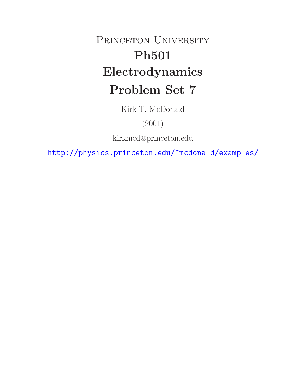# PRINCETON UNIVERSITY **Ph501 Electrodynamics Problem Set 7**

Kirk T. McDonald

(2001)

kirkmcd@princeton.edu

http://physics.princeton.edu/~mcdonald/examples/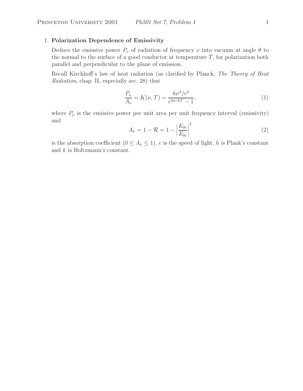## 1. **Polarization Dependence of Emissivity**

Deduce the emissive power  $P_{\nu}$  of radiation of frequency  $\nu$  into vacuum at angle  $\theta$  to the normal to the surface of a good conductor at temperature  $T$ , for polarization both parallel and perpendicular to the plane of emission.

Recall Kirchhoff's law of heat radiation (as clarified by Planck, *The Theory of Heat Radiation*, chap. II, especially sec. 28) that

$$
\frac{P_{\nu}}{A_{\nu}} = K(\nu, T) = \frac{h\nu^3/c^2}{e^{h\nu/kT} - 1},
$$
\n(1)

where  $P_{\nu}$  is the emissive power per unit area per unit frequency interval (emissivity) and

$$
A_{\nu} = 1 - \mathcal{R} = 1 - \left| \frac{E_{0r}}{E_{0i}} \right|^2 \tag{2}
$$

is the absorption coefficient  $(0 \leq A_{\nu} \leq 1)$ , c is the speed of light, h is Plank's constant and k is Boltzmann's constant.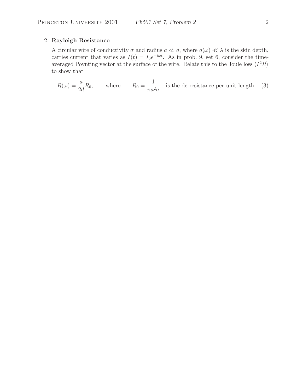# 2. **Rayleigh Resistance**

A circular wire of conductivity  $\sigma$  and radius  $a \ll d$ , where  $d(\omega) \ll \lambda$  is the skin depth, carries current that varies as  $I(t) = I_0 e^{-i\omega t}$ . As in prob. 9, set 6, consider the timeaveraged Poynting vector at the surface of the wire. Relate this to the Joule loss  $\langle I^2R \rangle$ to show that

$$
R(\omega) = \frac{a}{2d}R_0
$$
, where  $R_0 = \frac{1}{\pi a^2 \sigma}$  is the dc resistance per unit length. (3)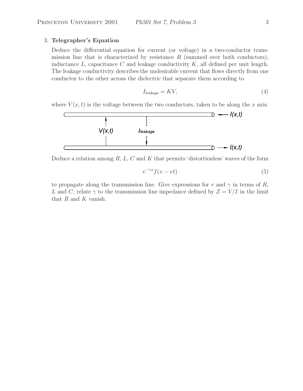### 3. **Telegrapher's Equation**

Deduce the differential equation for current (or voltage) in a two-conductor transmission line that is characterized by resistance  $R$  (summed over both conductors), inductance  $L$ , capacitance  $C$  and leakage conductivity  $K$ , all defined per unit length. The leakage conductivity describes the undesirable current that flows directly from one conductor to the other across the dielectric that separate them according to

$$
I_{\text{leakage}} = KV,\tag{4}
$$

where  $V(x, t)$  is the voltage between the two conductors, taken to be along the x axis.



Deduce a relation among  $R, L, C$  and  $K$  that permits 'distortionless' waves of the form

$$
e^{-\gamma x} f(x - vt) \tag{5}
$$

to propagate along the transmission line. Give expressions for v and  $\gamma$  in terms of R, L and C; relate  $\gamma$  to the transmission line impedance defined by  $Z = V/I$  in the limit that  $R$  and  $K$  vanish.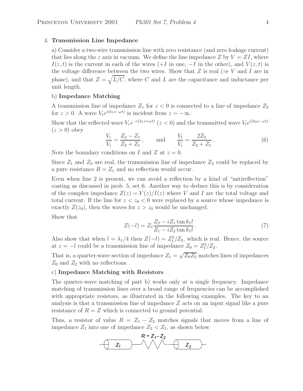#### 4. **Transmission Line Impedance**

a) Consider a two-wire transmission line with zero resistance (and zero leakage current) that lies along the z axis in vacuum. We define the line impedance Z by  $V = ZI$ , where  $I(z, t)$  is the current in each of the wires  $(+I \text{ in one}, -I \text{ in the other}),$  and  $V(z, t)$  is the voltage difference between the two wires. Show that Z is real ( $\Rightarrow$  V and I are in phase), and that  $Z = \sqrt{L/C}$ , where C and L are the capacitance and inductance per unit length.

#### b) **Impedance Matching**

A transmission line of impedance  $Z_1$  for  $z < 0$  is connected to a line of impedance  $Z_2$ for  $z > 0$ . A wave  $V_i e^{i(k_1 z - \omega t)}$  is incident from  $z = -\infty$ .

Show that the reflected wave  $V_re^{-i(k_1z+\omega t)}$  ( $z < 0$ ) and the transmitted wave  $V_te^{i(k_2z-\omega t)}$  $(z>0)$  obey

$$
\frac{V_r}{V_i} = \frac{Z_2 - Z_1}{Z_2 + Z_1}, \quad \text{and} \quad \frac{V_t}{V_i} = \frac{2Z_2}{Z_2 + Z_1}.
$$
 (6)

Note the boundary conditions on I and Z at  $z = 0$ .

Since  $Z_1$  and  $Z_2$  are real, the transmission line of impedance  $Z_2$  could be replaced by a pure resistance  $R = Z_1$  and no reflection would occur.

Even when line 2 is present, we can avoid a reflection by a kind of "antireflection" coating as discussed in prob. 5, set 6. Another way to deduce this is by consideration of the complex impedance  $Z(z) = V(z)/I(z)$  where V and I are the total voltage and total current. If the line for  $z < z_0 < 0$  were replaced by a source whose impedance is exactly  $Z(z_0)$ , then the waves for  $z>z_0$  would be unchanged.

Show that

$$
Z(-l) = Z_1 \frac{Z_2 - iZ_1 \tan k_1 l}{Z_1 - iZ_2 \tan k_1 l}.
$$
\n(7)

Also show that when  $l = \lambda_1/4$  then  $Z(-l) = Z_1^2/Z_2$ , which is real. Hence, the source at  $z = -l$  could be a transmission line of impedance  $Z_0 = Z_1^2/Z_2$ .

That is, a quarter-wave section of impedance  $Z_1 = \sqrt{Z_0 Z_2}$  matches lines of impedances  $Z_0$  and  $Z_2$  with no reflections.

#### c) **Impedance Matching with Resistors**

The quarter-wave matching of part b) works only at a single frequency. Impedance matching of transmission lines over a broad range of frequencies can be accomplished with appropriate resistors, as illustrated in the following examples. The key to an analysis is that a transmission line of impedance  $Z$  acts on an input signal like a pure resistance of  $R = Z$  which is connected to ground potential.

Thus, a resistor of value  $R = Z_1 - Z_2$  matches signals that moves from a line of impedance  $Z_1$  into one of impedance  $Z_2 < Z_1$ , as shown below

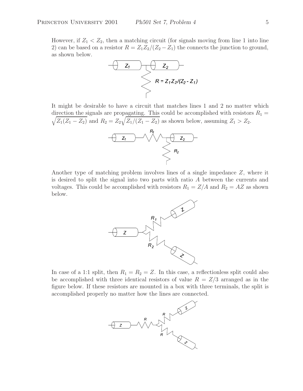However, if  $Z_1 < Z_2$ , then a matching circuit (for signals moving from line 1 into line 2) can be based on a resistor  $R = Z_1 Z_2/(Z_2 - Z_1)$  the connects the junction to ground, as shown below.



It might be desirable to have a circuit that matches lines 1 and 2 no matter which direction the signals are propagating. This could be accomplished with resistors  $R_1 =$  $\sqrt{Z_1(Z_1 - Z_2)}$  and  $R_2 = Z_2\sqrt{Z_1/(Z_1 - Z_2)}$  as shown below, assuming  $Z_1 > Z_2$ .



Another type of matching problem involves lines of a single impedance Z, where it is desired to split the signal into two parts with ratio A between the currents and voltages. This could be accomplished with resistors  $R_1 = Z/A$  and  $R_2 = AZ$  as shown below.



In case of a 1:1 split, then  $R_1 = R_2 = Z$ . In this case, a reflectionless split could also be accomplished with three identical resistors of value  $R = Z/3$  arranged as in the figure below. If these resistors are mounted in a box with three terminals, the split is accomplished properly no matter how the lines are connected.

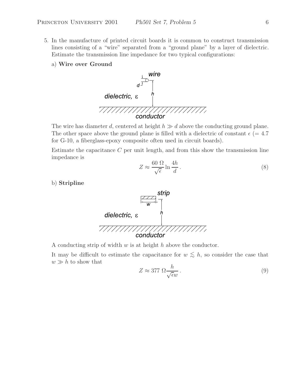- 5. In the manufacture of printed circuit boards it is common to construct transmission lines consisting of a "wire" separated from a "ground plane" by a layer of dielectric. Estimate the transmission line impedance for two typical configurations:
	- a) **Wire over Ground**



The wire has diameter d, centered at height  $h \gg d$  above the conducting ground plane. The other space above the ground plane is filled with a dielectric of constant  $\epsilon$  (= 4.7) for G-10, a fiberglass-epoxy composite often used in circuit boards).

Estimate the capacitance  $C$  per unit length, and from this show the transmission line impedance is

$$
Z \approx \frac{60 \ \Omega}{\sqrt{\epsilon}} \ln \frac{4h}{d} \,. \tag{8}
$$

b) **Stripline**



A conducting strip of width  $w$  is at height  $h$  above the conductor.

It may be difficult to estimate the capacitance for  $w \lesssim h$ , so consider the case that  $w \gg h$  to show that

$$
Z \approx 377 \ \Omega \frac{h}{\sqrt{\epsilon w}} \,. \tag{9}
$$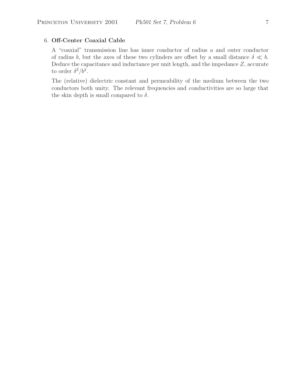## 6. **Off-Center Coaxial Cable**

A "coaxial" transmission line has inner conductor of radius a and outer conductor of radius b, but the axes of these two cylinders are offset by a small distance  $\delta \ll b$ . Deduce the capacitance and inductance per unit length, and the impedance Z, accurate to order  $\delta^2/b^2$ .

The (relative) dielectric constant and permeability of the medium between the two conductors both unity. The relevant frequencies and conductivities are so large that the skin depth is small compared to  $\delta$ .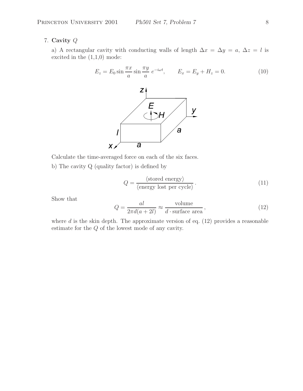# 7. **Cavity** Q

a) A rectangular cavity with conducting walls of length  $\Delta x = \Delta y = a, \Delta z = l$  is excited in the  $(1,1,0)$  mode:

$$
E_z = E_0 \sin \frac{\pi x}{a} \sin \frac{\pi y}{a} e^{-i\omega t}, \qquad E_x = E_y + H_z = 0. \tag{10}
$$



Calculate the time-averaged force on each of the six faces.

b) The cavity Q (quality factor) is defined by

$$
Q = \frac{\langle \text{stored energy} \rangle}{\langle \text{energy lost per cycle} \rangle}.
$$
 (11)

Show that

$$
Q = \frac{al}{2\pi d(a+2l)} \approx \frac{\text{volume}}{d \cdot \text{surface area}},
$$
\n(12)

where  $d$  is the skin depth. The approximate version of eq.  $(12)$  provides a reasonable estimate for the Q of the lowest mode of any cavity.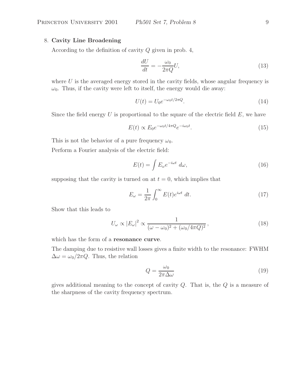# 8. **Cavity Line Broadening**

According to the definition of cavity Q given in prob. 4,

$$
\frac{dU}{dt} = -\frac{\omega_0}{2\pi Q}U,\tag{13}
$$

where  $U$  is the averaged energy stored in the cavity fields, whose angular frequency is  $\omega_0$ . Thus, if the cavity were left to itself, the energy would die away:

$$
U(t) = U_0 e^{-\omega_0 t/2\pi Q}.
$$
\n
$$
(14)
$$

Since the field energy  $U$  is proportional to the square of the electric field  $E$ , we have

$$
E(t) \propto E_0 e^{-\omega_0 t/4\pi Q} e^{-i\omega_0 t}.
$$
\n(15)

This is not the behavior of a pure frequency  $\omega_0$ .

Perform a Fourier analysis of the electric field:

$$
E(t) = \int E_{\omega} e^{-i\omega t} d\omega, \qquad (16)
$$

supposing that the cavity is turned on at  $t = 0$ , which implies that

$$
E_{\omega} = \frac{1}{2\pi} \int_0^{\infty} E(t)e^{i\omega t} dt.
$$
 (17)

Show that this leads to

$$
U_{\omega} \propto |E_{\omega}|^2 \propto \frac{1}{(\omega - \omega_0)^2 + (\omega_0/4\pi Q)^2},\tag{18}
$$

which has the form of a **resonance curve**.

The damping due to resistive wall losses gives a finite width to the resonance: FWHM  $\Delta \omega = \omega_0 / 2\pi Q$ . Thus, the relation

$$
Q = \frac{\omega_0}{2\pi\Delta\omega} \tag{19}
$$

gives additional meaning to the concept of cavity  $Q$ . That is, the  $Q$  is a measure of the sharpness of the cavity frequency spectrum.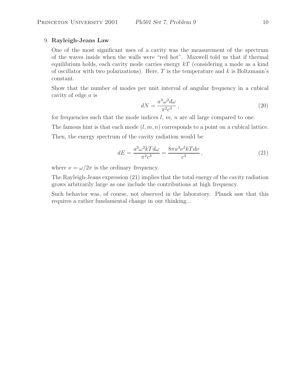# 9. **Rayleigh-Jeans Law**

One of the most significant uses of a cavity was the measurement of the spectrum of the waves inside when the walls were "red hot". Maxwell told us that if thermal equilibrium holds, each cavity mode carries energy  $kT$  (considering a mode as a kind of oscillator with two polarizations). Here,  $T$  is the temperature and  $k$  is Boltzmann's constant.

Show that the number of modes per unit interval of angular frequency in a cubical cavity of edge a is

$$
dN = \frac{a^3 \omega^2 d\omega}{\pi^2 c^3},\tag{20}
$$

for frequencies such that the mode indices  $l, m, n$  are all large compared to one.

The famous hint is that each mode  $(l, m, n)$  corresponds to a point on a cubical lattice.

Then, the energy spectrum of the cavity radiation would be

$$
dE = \frac{a^3 \omega^2 k T d\omega}{\pi^2 c^3} = \frac{8\pi a^3 \nu^2 k T d\nu}{c^3},\tag{21}
$$

where  $\nu = \omega/2\pi$  is the ordinary frequency.

The Rayleigh-Jeans expression (21) implies that the total energy of the cavity radiation grows arbitrarily large as one include the contributions at high frequency.

Such behavior was, of course, not observed in the laboratory. Planck saw that this requires a rather fundamental change in our thinking...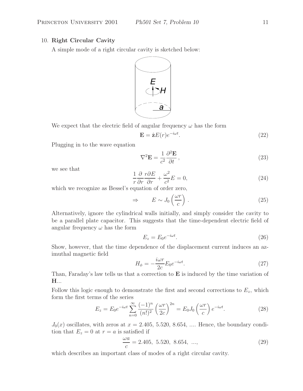# 10. **Right Circular Cavity**

A simple mode of a right circular cavity is sketched below:



We expect that the electric field of angular frequency  $\omega$  has the form

$$
\mathbf{E} = \hat{\mathbf{z}}E(r)e^{-i\omega t}.\tag{22}
$$

Plugging in to the wave equation

$$
\nabla^2 \mathbf{E} = \frac{1}{c^2} \frac{\partial^2 \mathbf{E}}{\partial t},\tag{23}
$$

we see that

$$
\frac{1}{r}\frac{\partial}{\partial r}\frac{r\partial E}{\partial r} + \frac{\omega^2}{c^2}E = 0,
$$
\n(24)

which we recognize as Bessel's equation of order zero,

$$
\Rightarrow \qquad E \sim J_0 \left(\frac{\omega r}{c}\right) \,. \tag{25}
$$

Alternatively, ignore the cylindrical walls initially, and simply consider the cavity to be a parallel plate capacitor. This suggests that the time-dependent electric field of angular frequency  $\omega$  has the form

$$
E_z = E_0 e^{-i\omega t}.\tag{26}
$$

Show, however, that the time dependence of the displacement current induces an azimuthal magnetic field

$$
H_{\phi} = -\frac{i\omega r}{2c} E_0 e^{-i\omega t}.
$$
\n(27)

Than, Faraday's law tells us that a correction to **E** is induced by the time variation of **H**...

Follow this logic enough to demonstrate the first and second corrections to  $E_z$ , which form the first terms of the series

$$
E_z = E_0 e^{-i\omega t} \sum_{n=0}^{\infty} \frac{(-1)^n}{(n!)^2} \left(\frac{\omega r}{2c}\right)^{2n} = E_0 J_0 \left(\frac{\omega r}{c}\right) e^{-i\omega t}.
$$
 (28)

 $J_0(x)$  oscillates, with zeros at  $x = 2.405, 5.520, 8.654, \dots$  Hence, the boundary condition that  $E_z = 0$  at  $r = a$  is satisfied if

$$
\frac{\omega a}{c} = 2.405, 5.520, 8.654, ..., \tag{29}
$$

which describes an important class of modes of a right circular cavity.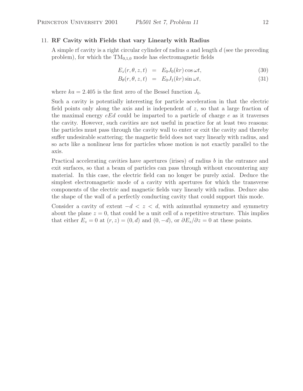### 11. **RF Cavity with Fields that vary Linearly with Radius**

A simple rf cavity is a right circular cylinder of radius  $a$  and length  $d$  (see the preceding problem), for which the  $TM_{0,1,0}$  mode has electromagnetic fields

$$
E_z(r, \theta, z, t) = E_0 J_0(kr) \cos \omega t, \qquad (30)
$$

$$
B_{\theta}(r, \theta, z, t) = E_0 J_1(kr) \sin \omega t, \qquad (31)
$$

where  $ka = 2.405$  is the first zero of the Bessel function  $J_0$ .

Such a cavity is potentially interesting for particle acceleration in that the electric field points only along the axis and is independent of z, so that a large fraction of the maximal energy  $eEd$  could be imparted to a particle of charge e as it traverses the cavity. However, such cavities are not useful in practice for at least two reasons: the particles must pass through the cavity wall to enter or exit the cavity and thereby suffer undesirable scattering; the magnetic field does not vary linearly with radius, and so acts like a nonlinear lens for particles whose motion is not exactly parallel to the axis.

Practical accelerating cavities have apertures (irises) of radius b in the entrance and exit surfaces, so that a beam of particles can pass through without encountering any material. In this case, the electric field can no longer be purely axial. Deduce the simplest electromagnetic mode of a cavity with apertures for which the transverse components of the electric and magnetic fields vary linearly with radius. Deduce also the shape of the wall of a perfectly conducting cavity that could support this mode.

Consider a cavity of extent  $-d < z < d$ , with azimuthal symmetry and symmetry about the plane  $z = 0$ , that could be a unit cell of a repetitive structure. This implies that either  $E_z = 0$  at  $(r, z) = (0, d)$  and  $(0, -d)$ , or  $\partial E_z / \partial z = 0$  at these points.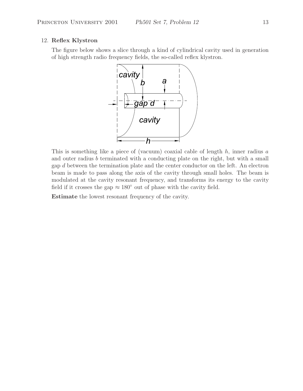## 12. **Reflex Klystron**

The figure below shows a slice through a kind of cylindrical cavity used in generation of high strength radio frequency fields, the so-called reflex klystron.



This is something like a piece of (vacuum) coaxial cable of length  $h$ , inner radius  $a$ and outer radius b terminated with a conducting plate on the right, but with a small gap d between the termination plate and the center conductor on the left. An electron beam is made to pass along the axis of the cavity through small holes. The beam is modulated at the cavity resonant frequency, and transforms its energy to the cavity field if it crosses the gap  $\approx 180^\circ$  out of phase with the cavity field.

**Estimate** the lowest resonant frequency of the cavity.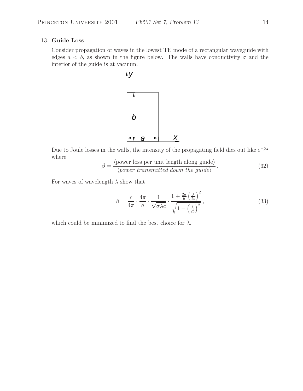## 13. **Guide Loss**

Consider propagation of waves in the lowest TE mode of a rectangular waveguide with edges  $a < b$ , as shown in the figure below. The walls have conductivity  $\sigma$  and the interior of the guide is at vacuum.



Due to Joule losses in the walls, the intensity of the propagating field dies out like  $e^{-\beta z}$ where

$$
\beta = \frac{\langle \text{power loss per unit length along guide} \rangle}{\langle \text{power transmitted down the guide} \rangle}.
$$
 (32)

For waves of wavelength  $\lambda$  show that

$$
\beta = \frac{c}{4\pi} \cdot \frac{4\pi}{a} \cdot \frac{1}{\sqrt{\sigma \lambda c}} \cdot \frac{1 + \frac{2a}{b} \left(\frac{\lambda}{2b}\right)^2}{\sqrt{1 - \left(\frac{\lambda}{2b}\right)^2}},\tag{33}
$$

which could be minimized to find the best choice for  $\lambda$ .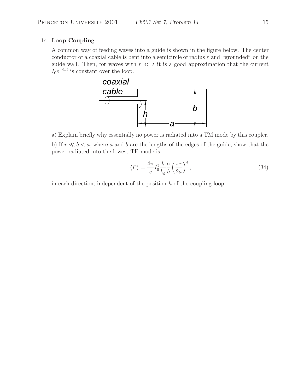# 14. **Loop Coupling**

A common way of feeding waves into a guide is shown in the figure below. The center conductor of a coaxial cable is bent into a semicircle of radius  $r$  and "grounded" on the guide wall. Then, for waves with  $r \ll \lambda$  it is a good approximation that the current  $I_0e^{-i\omega t}$  is constant over the loop.



a) Explain briefly why essentially no power is radiated into a TM mode by this coupler.

b) If  $r \ll b < a$ , where a and b are the lengths of the edges of the guide, show that the power radiated into the lowest TE mode is

$$
\langle P \rangle = \frac{4\pi}{c} I_0^2 \frac{k}{k_g} \frac{a}{b} \left(\frac{\pi r}{2a}\right)^4,\tag{34}
$$

in each direction, independent of the position  $h$  of the coupling loop.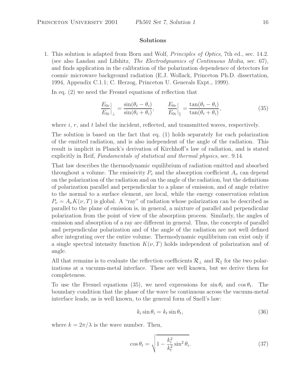## **Solutions**

1. This solution is adapted from Born and Wolf, *Principles of Optics*, 7th ed., sec. 14.2. (see also Landau and Lifshitz, *The Electrodynamics of Continuous Media*, sec. 67), and finds application in the calibration of the polarization dependence of detectors for cosmic microwave background radiation (E.J. Wollack, Princeton Ph.D. dissertation, 1994, Appendix C.1.1; C. Herzog, Princeton U. Generals Expt., 1999).

In eq. (2) we need the Fresnel equations of reflection that

$$
\left. \frac{E_{0r}}{E_{0i}} \right|_{\perp} = \frac{\sin(\theta_t - \theta_i)}{\sin(\theta_t + \theta_i)}, \qquad \left. \frac{E_{0r}}{E_{0i}} \right|_{\parallel} = \frac{\tan(\theta_t - \theta_i)}{\tan(\theta_t + \theta_i)}, \tag{35}
$$

where  $i, r$ , and  $t$  label the incident, reflected, and transmitted waves, respectively.

The solution is based on the fact that eq. (1) holds separately for each polarization of the emitted radiation, and is also independent of the angle of the radiation. This result is implicit in Planck's derivation of Kirchhoff's law of radiation, and is stated explicitly in Reif, *Fundamentals of statistical and thermal physics*, sec. 9.14.

That law describes the thermodynamic equilibrium of radiation emitted and absorbed throughout a volume. The emissivity  $P_v$  and the absorption coefficient  $A_v$  can depend on the polarization of the radiation and on the angle of the radiation, but the definitions of polarization parallel and perpendicular to a plane of emission, and of angle relative to the normal to a surface element, are local, while the energy conservation relation  $P_{\nu} = A_{\nu} K(\nu, T)$  is global. A "ray" of radiation whose polarization can be described as parallel to the plane of emission is, in general, a mixture of parallel and perpendicular polarization from the point of view of the absorption process. Similarly, the angles of emission and absorption of a ray are different in general. Thus, the concepts of parallel and perpendicular polarization and of the angle of the radiation are not well defined after integrating over the entire volume. Thermodynamic equilibrium can exist only if a single spectral intensity function  $K(\nu,T)$  holds independent of polarization and of angle.

All that remains is to evaluate the reflection coefficients  $\mathcal{R}_{\perp}$  and  $\mathcal{R}_{\parallel}$  for the two polarizations at a vacuum-metal interface. These are well known, but we derive them for completeness.

To use the Fresnel equations (35), we need expressions for  $\sin \theta_t$  and  $\cos \theta_t$ . The boundary condition that the phase of the wave be continuous across the vacuum-metal interface leads, as is well known, to the general form of Snell's law:

$$
k_i \sin \theta_i = k_t \sin \theta_t,\tag{36}
$$

where  $k = 2\pi/\lambda$  is the wave number. Then,

$$
\cos \theta_t = \sqrt{1 - \frac{k_i^2}{k_t^2} \sin^2 \theta_i}.
$$
\n(37)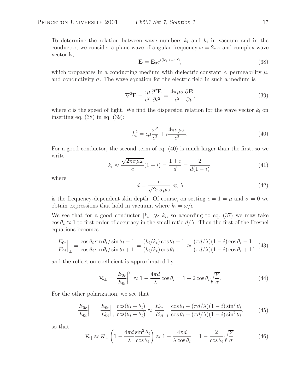To determine the relation between wave numbers  $k_i$  and  $k_t$  in vacuum and in the conductor, we consider a plane wave of angular frequency  $\omega = 2\pi\nu$  and complex wave vector **k**,

$$
\mathbf{E} = \mathbf{E}_0 e^{i(\mathbf{k_t} \cdot \mathbf{r} - \omega t)},\tag{38}
$$

which propagates in a conducting medium with dielectric constant  $\epsilon$ , permeability  $\mu$ , and conductivity  $\sigma$ . The wave equation for the electric field in such a medium is

$$
\nabla^2 \mathbf{E} - \frac{\epsilon \mu}{c^2} \frac{\partial^2 \mathbf{E}}{\partial t^2} = \frac{4\pi \mu \sigma}{c^2} \frac{\partial \mathbf{E}}{\partial t},\tag{39}
$$

where c is the speed of light. We find the dispersion relation for the wave vector  $k_t$  on inserting eq. (38) in eq. (39):

$$
k_t^2 = \epsilon \mu \frac{\omega^2}{c^2} + i \frac{4\pi \sigma \mu \omega}{c^2}.
$$
\n(40)

For a good conductor, the second term of eq. (40) is much larger than the first, so we write

$$
k_t \approx \frac{\sqrt{2\pi\sigma\mu\omega}}{c}(1+i) = \frac{1+i}{d} = \frac{2}{d(1-i)},\tag{41}
$$

where

$$
d = \frac{c}{\sqrt{2\pi\sigma\mu\omega}} \ll \lambda \tag{42}
$$

is the frequency-dependent skin depth. Of course, on setting  $\epsilon = 1 = \mu$  and  $\sigma = 0$  we obtain expressions that hold in vacuum, where  $k_i = \omega/c$ .

We see that for a good conductor  $|k_t| \gg k_i$ , so according to eq. (37) we may take  $\cos \theta_t \approx 1$  to first order of accuracy in the small ratio  $d/\lambda$ . Then the first of the Fresnel equations becomes

$$
\left. \frac{E_{0r}}{E_{0i}} \right|_{\perp} = \frac{\cos \theta_i \sin \theta_t / \sin \theta_i - 1}{\cos \theta_i \sin \theta_t / \sin \theta_i + 1} = \frac{(k_i / k_t) \cos \theta_i - 1}{(k_i / k_t) \cos \theta_i + 1} \approx \frac{(\pi d/\lambda)(1 - i) \cos \theta_i - 1}{(\pi d/\lambda)(1 - i) \cos \theta_i + 1}, \tag{43}
$$

and the reflection coefficient is approximated by

$$
\mathcal{R}_{\perp} = \left| \frac{E_{0r}}{E_{0i}} \right|_{\perp}^{2} \approx 1 - \frac{4\pi d}{\lambda} \cos \theta_{i} = 1 - 2 \cos \theta_{i} \sqrt{\frac{\nu}{\sigma}}.
$$
\n(44)

For the other polarization, we see that

$$
\left. \frac{E_{0r}}{E_{0i}} \right|_{\parallel} = \left. \frac{E_{0r}}{E_{0i}} \right|_{\perp} \frac{\cos(\theta_i + \theta_t)}{\cos(\theta_i - \theta_t)} \approx \left. \frac{E_{0r}}{E_{0i}} \right|_{\perp} \frac{\cos\theta_i - (\pi d/\lambda)(1 - i)\sin^2\theta_i}{\cos\theta_i + (\pi d/\lambda)(1 - i)\sin^2\theta_i},\tag{45}
$$

so that

$$
\mathcal{R}_{\parallel} \approx \mathcal{R}_{\perp} \left( 1 - \frac{4\pi d}{\lambda} \frac{\sin^2 \theta_i}{\cos \theta_i} \right) \approx 1 - \frac{4\pi d}{\lambda \cos \theta_i} = 1 - \frac{2}{\cos \theta_i} \sqrt{\frac{\nu}{\sigma}}.
$$
 (46)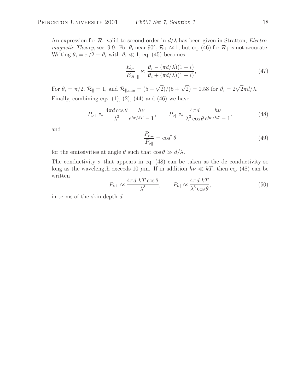An expression for  $\mathcal{R}_{\parallel}$  valid to second order in  $d/\lambda$  has been given in Stratton, *Electromagnetic Theory*, sec. 9.9. For  $\theta_i$  near 90°,  $\mathcal{R}_\perp \approx 1$ , but eq. (46) for  $\mathcal{R}_\parallel$  is not accurate. Writing  $\theta_i = \pi/2 - \vartheta_i$  with  $\vartheta_i \ll 1$ , eq. (45) becomes

$$
\left. \frac{E_{0r}}{E_{0i}} \right|_{\parallel} \approx \frac{\vartheta_i - (\pi d/\lambda)(1 - i)}{\vartheta_i + (\pi d/\lambda)(1 - i)},\tag{47}
$$

For  $\theta_i = \pi/2$ ,  $\mathcal{R}_{\parallel} = 1$ , and  $\mathcal{R}_{\parallel, \text{min}} = (5 - \sqrt{2})/(5 + \sqrt{2}) = 0.58$  for  $\vartheta_i = 2\sqrt{2}\pi d/\lambda$ . Finally, combining eqs.  $(1)$ ,  $(2)$ ,  $(44)$  and  $(46)$  we have

$$
P_{\nu\perp} \approx \frac{4\pi d \cos\theta}{\lambda^3} \frac{h\nu}{e^{h\nu/kT} - 1}, \qquad P_{\nu\parallel} \approx \frac{4\pi d}{\lambda^3 \cos\theta} \frac{h\nu}{e^{h\nu/kT} - 1}, \tag{48}
$$

and

$$
\frac{P_{\nu\perp}}{P_{\nu\parallel}} = \cos^2\theta\tag{49}
$$

for the emissivities at angle  $\theta$  such that  $\cos \theta \gg d/\lambda$ .

The conductivity  $\sigma$  that appears in eq. (48) can be taken as the dc conductivity so long as the wavelength exceeds 10  $\mu$ m. If in addition  $h\nu \ll kT$ , then eq. (48) can be written

$$
P_{\nu\perp} \approx \frac{4\pi d \ kT \cos \theta}{\lambda^3}, \qquad P_{\nu\parallel} \approx \frac{4\pi d \ kT}{\lambda^3 \cos \theta},\tag{50}
$$

in terms of the skin depth d.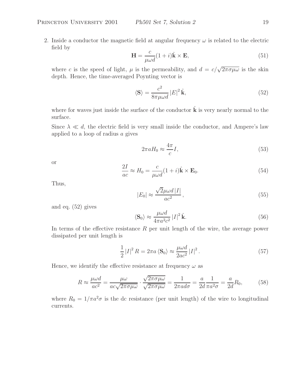2. Inside a conductor the magnetic field at angular frequency  $\omega$  is related to the electric field by

$$
\mathbf{H} = \frac{c}{\mu \omega d} (1 + i) \hat{\mathbf{k}} \times \mathbf{E}, \tag{51}
$$

where c is the speed of light,  $\mu$  is the permeability, and  $d = c/\sqrt{2\pi\sigma\mu\omega}$  is the skin depth. Hence, the time-averaged Poynting vector is

$$
\langle \mathbf{S} \rangle = \frac{c^2}{8\pi\mu\omega d} |E|^2 \hat{\mathbf{k}},\tag{52}
$$

where for waves just inside the surface of the conductor  $\hat{\mathbf{k}}$  is very nearly normal to the surface.

Since  $\lambda \ll d$ , the electric field is very small inside the conductor, and Ampere's law applied to a loop of radius a gives

$$
2\pi a H_0 \approx \frac{4\pi}{c} I,\tag{53}
$$

or

$$
\frac{2I}{ac} \approx H_0 = \frac{c}{\mu \omega d} (1 + i) \hat{\mathbf{k}} \times \mathbf{E}_0.
$$
 (54)

Thus,

$$
|E_0| \approx \frac{\sqrt{2}\mu\omega d \, |I|}{ac^2},\tag{55}
$$

and eq. (52) gives

$$
\langle \mathbf{S}_0 \rangle \approx \frac{\mu \omega d}{4\pi a^2 c^2} |I|^2 \hat{\mathbf{k}}.\tag{56}
$$

In terms of the effective resistance  $R$  per unit length of the wire, the average power dissipated per unit length is

$$
\frac{1}{2}|I|^2 R = 2\pi a \langle \mathbf{S}_0 \rangle \approx \frac{\mu \omega d}{2ac^2} |I|^2. \tag{57}
$$

Hence, we identify the effective resistance at frequency  $\omega$  as

$$
R \approx \frac{\mu\omega d}{ac^2} = \frac{\mu\omega}{ac\sqrt{2\pi\sigma\mu\omega}} \cdot \frac{\sqrt{2\pi\sigma\mu\omega}}{\sqrt{2\pi\sigma\mu\omega}} = \frac{1}{2\pi a d\sigma} = \frac{a}{2d} \frac{1}{\pi a^2 \sigma} = \frac{a}{2d} R_0,
$$
(58)

where  $R_0 = 1/\pi a^2 \sigma$  is the dc resistance (per unit length) of the wire to longitudinal currents.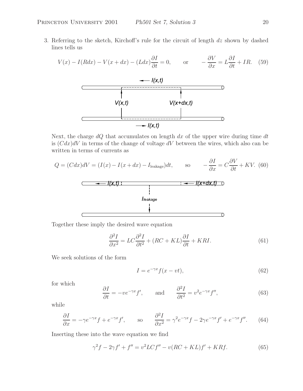3. Referring to the sketch, Kirchoff's rule for the circuit of length dz shown by dashed lines tells us

$$
V(x) - I(Rdx) - V(x+dx) - (Ldx)\frac{\partial I}{\partial t} = 0, \qquad \text{or} \qquad -\frac{\partial V}{\partial x} = L\frac{\partial I}{\partial t} + IR. \tag{59}
$$



Next, the charge  $dQ$  that accumulates on length  $dx$  of the upper wire during time  $dt$ is  $(Cdx)dV$  in terms of the change of voltage dV between the wires, which also can be written in terms of currents as

$$
Q = (Cdx)dV = (I(x) - I(x+dx) - I_{\text{leakage}})dt, \qquad \text{so} \qquad -\frac{\partial I}{\partial x} = C\frac{\partial V}{\partial t} + KV. \tag{60}
$$
\n
$$
\begin{array}{c|c|c}\n & \xrightarrow{\text{1}} & \text{1} & \text{1} & \text{1} \\
\hline\n & \text{1} & \text{1} & \text{1} & \text{1} \\
\hline\n & \text{1} & \text{1} & \text{1} & \text{1} \\
\hline\n & \text{1} & \text{1} & \text{1} & \text{1} \\
\hline\n & \text{1} & \text{1} & \text{1} & \text{1} \\
\hline\n & \text{1} & \text{1} & \text{1} & \text{1} \\
\hline\n & \text{1} & \text{1} & \text{1} & \text{1} \\
\hline\n & \text{1} & \text{1} & \text{1} & \text{1} \\
\hline\n & \text{1} & \text{1} & \text{1} & \text{1} \\
\hline\n & \text{1} & \text{1} & \text{1} & \text{1} \\
\hline\n & \text{1} & \text{1} & \text{1} & \text{1} \\
\hline\n & \text{1} & \text{1} & \text{1} & \text{1} \\
\hline\n & \text{1} & \text{1} & \text{1} & \text{1} \\
\hline\n & \text{1} & \text{1} & \text{1} & \text{1} \\
\hline\n & \text{1} & \text{1} & \text{1} & \text{1} \\
\hline\n & \text{1} & \text{1} & \text{1} & \text{1} \\
\hline\n & \text{1} & \text{1} & \text{1} & \text{1} \\
\hline\n & \text{1} & \text{1} & \text{1} & \text{1} \\
\hline\n & \text{1} & \text{1} & \text{1} & \text{1} \\
\hline\n & \text{1} & \text{1} & \text{1} & \text{1} \\
\hline\n & \text{1} & \text{1} & \text{1} & \text{1} \\
\hline\n & \text{1} & \text{1} & \text{1} & \text{1} \\
\hline\n & \text{1} & \text{1} & \text{1} & \text{1}
$$

Together these imply the desired wave equation

$$
\frac{\partial^2 I}{\partial x^2} = LC \frac{\partial^2 I}{\partial t^2} + (RC + KL) \frac{\partial I}{\partial t} + KRI.
$$
\n(61)

We seek solutions of the form

$$
I = e^{-\gamma x} f(x - vt),\tag{62}
$$

for which

$$
\frac{\partial I}{\partial t} = -ve^{-\gamma x} f', \quad \text{and} \quad \frac{\partial^2 I}{\partial t^2} = v^2 e^{-\gamma x} f'', \tag{63}
$$

while

$$
\frac{\partial I}{\partial x} = -\gamma e^{-\gamma x} f + e^{-\gamma x} f', \qquad \text{so} \qquad \frac{\partial^2 I}{\partial x^2} = \gamma^2 e^{-\gamma x} f - 2\gamma e^{-\gamma x} f' + e^{-\gamma x} f''. \tag{64}
$$

Inserting these into the wave equation we find

$$
\gamma^{2} f - 2\gamma f' + f'' = v^{2} L C f'' - v (RC + KL) f' + KRf.
$$
 (65)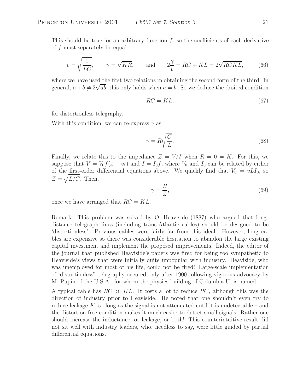This should be true for an arbitrary function  $f$ , so the coefficients of each derivative of f must separately be equal:

$$
v = \sqrt{\frac{1}{LC}}, \qquad \gamma = \sqrt{KR}, \qquad \text{and} \qquad 2\frac{\gamma}{v} = RC + KL = 2\sqrt{RCKL}, \tag{66}
$$

where we have used the first two relations in obtaining the second form of the third. In general,  $a + b \neq 2\sqrt{ab}$ ; this only holds when  $a = b$ . So we deduce the desired condition

$$
RC = KL,\t(67)
$$

for distortionless telegraphy.

With this condition, we can re-express  $\gamma$  as

$$
\gamma = R \sqrt{\frac{C}{L}}.\tag{68}
$$

Finally, we relate this to the impedance  $Z = V/I$  when  $R = 0 = K$ . For this, we suppose that  $V = V_0 f(x - vt)$  and  $I = I_0 f$ , where  $V_0$  and  $I_0$  can be related by either of the first-order differential equations above. We quickly find that  $V_0 = vLI_0$ , so  $Z = \sqrt{L/C}$ . Then,

$$
\gamma = \frac{R}{Z},\tag{69}
$$

once we have arranged that  $RC = KL$ .

Remark: This problem was solved by O. Heaviside (1887) who argued that longdistance telegraph lines (including trans-Atlantic cables) should be designed to be 'distortionless'. Previous cables were fairly far from this ideal. However, long cables are expensive so there was considerable hesitation to abandon the large existing capital investment and implement the proposed improvements. Indeed, the editor of the journal that published Heaviside's papers was fired for being too sympathetic to Heaviside's views that were initially quite unpopular with industry. Heaviside, who was unemployed for most of his life, could not be fired! Large-scale implementation of 'distortionless" telegraphy occured only after 1900 following vigorous advocacy by M. Pupin of the U.S.A., for whom the physics building of Columbia U. is named.

A typical cable has  $RC \gg KL$ . It costs a lot to reduce RC, although this was the direction of industry prior to Heaviside. He noted that one shouldn't even try to reduce leakage  $K$ , so long as the signal is not attenuated until it is undetectable – and the distortion-free condition makes it much easier to detect small signals. Rather one should increase the inductance, or leakage, or both! This counterintuitive result did not sit well with industry leaders, who, needless to say, were little guided by partial differential equations.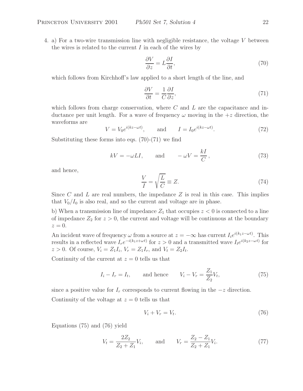4. a) For a two-wire transmission line with negligible resistance, the voltage V between the wires is related to the current  $I$  in each of the wires by

$$
\frac{\partial V}{\partial z} = L \frac{\partial I}{\partial t},\tag{70}
$$

which follows from Kirchhoff's law applied to a short length of the line, and

$$
\frac{\partial V}{\partial t} = \frac{1}{C} \frac{\partial I}{\partial z},\tag{71}
$$

which follows from charge conservation, where  $C$  and  $L$  are the capacitance and inductance per unit length. For a wave of frequency  $\omega$  moving in the  $+z$  direction, the waveforms are

$$
V = V_0 e^{i(kz - \omega t)}, \qquad \text{and} \qquad I = I_0 e^{i(kz - \omega t)}.
$$
 (72)

Substituting these forms into eqs. (70)-(71) we find

$$
kV = -\omega LI, \qquad \text{and} \qquad -\omega V = \frac{kI}{C}, \tag{73}
$$

and hence,

$$
\frac{V}{I} = \sqrt{\frac{L}{C}} \equiv Z.
$$
\n(74)

Since C and L are real numbers, the impedance  $Z$  is real in this case. This implies that  $V_0/I_0$  is also real, and so the current and voltage are in phase.

b) When a transmission line of impedance  $Z_1$  that occupies  $z < 0$  is connected to a line of impedance  $Z_2$  for  $z > 0$ , the current and voltage will be continuous at the boundary  $z=0.$ 

An incident wave of frequency  $\omega$  from a source at  $z = -\infty$  has current  $I_i e^{i(k_1z - \omega t)}$ . This results in a reflected wave  $I_re^{-i(k_1z+\omega t)}$  for  $z>0$  and a transmitted wave  $I_te^{i(k_2z-\omega t)}$  for  $z > 0$ . Of course,  $V_i = Z_1 I_i$ ,  $V_r = Z_1 I_r$ , and  $V_t = Z_2 I_t$ .

Continuity of the current at  $z = 0$  tells us that

$$
I_i - I_r = I_t, \qquad \text{and hence} \qquad V_i - V_r = \frac{Z_1}{Z_2} V_t,
$$
\n
$$
\tag{75}
$$

since a positive value for  $I_r$  corresponds to current flowing in the  $-z$  direction. Continuity of the voltage at  $z = 0$  tells us that

$$
V_i + V_r = V_t. \tag{76}
$$

Equations (75) and (76) yield

$$
V_t = \frac{2Z_2}{Z_2 + Z_1} V_i, \quad \text{and} \quad V_r = \frac{Z_2 - Z_1}{Z_2 + Z_1} V_i.
$$
 (77)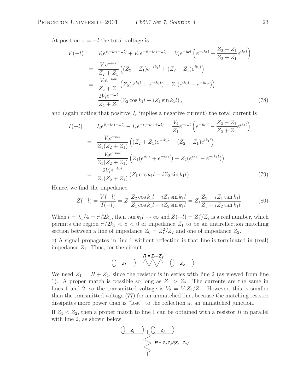At position  $z = -l$  the total voltage is

$$
V(-l) = V_i e^{i(-k_1 l - \omega t)} + V_r e^{-i(-k_1 l + \omega t)} = V_i e^{-i\omega t} \left( e^{-ik_1 l} + \frac{Z_2 - Z_1}{Z_2 + Z_1} e^{ik_1 l} \right)
$$
  
\n
$$
= \frac{V_i e^{-i\omega t}}{Z_2 + Z_1} \left( (Z_2 + Z_1) e^{-ik_1 l} + (Z_2 - Z_1) e^{ik_1 l} \right)
$$
  
\n
$$
= \frac{V_i e^{-i\omega t}}{Z_2 + Z_1} \left( Z_2 (e^{ik_1 l} + e^{-ik_1 l}) - Z_1 (e^{ik_1 l} - e^{-ik_1 l}) \right)
$$
  
\n
$$
= \frac{2V_i e^{-i\omega t}}{Z_2 + Z_1} (Z_2 \cos k_1 l - i Z_1 \sin k_1 l), \qquad (78)
$$

and (again noting that positive  $I_r$  implies a negative current) the total current is

$$
I(-l) = I_i e^{i(-k_1 l - \omega t)} - I_r e^{-i(-k_1 l + \omega t)} = \frac{V_i}{Z_1} e^{-i\omega t} \left( e^{-ik_1 l} - \frac{Z_2 - Z_1}{Z_2 + Z_1} e^{ik_1 l} \right)
$$
  
\n
$$
= \frac{V_i e^{-i\omega t}}{Z_1 (Z_2 + Z_1)} \left( (Z_2 + Z_1) e^{-ik_1 l} - (Z_2 - Z_1) e^{ik_1 l} \right)
$$
  
\n
$$
= \frac{V_i e^{-i\omega t}}{Z_1 (Z_2 + Z_1)} \left( Z_1 (e^{ik_1 l} + e^{-ik_1 l}) - Z_2 (e^{ik_1 l} - e^{-ik_1 l}) \right)
$$
  
\n
$$
= \frac{2V_i e^{-i\omega t}}{Z_1 (Z_2 + Z_1)} (Z_1 \cos k_1 l - i Z_2 \sin k_1 l), \qquad (79)
$$

Hence, we find the impedance

$$
Z(-l) = \frac{V(-l)}{I(-l)} = Z_1 \frac{Z_2 \cos k_1 l - i Z_1 \sin k_1 l}{Z_1 \cos k_1 l - i Z_2 \sin k_1 l} = Z_1 \frac{Z_2 - i Z_1 \tan k_1 l}{Z_1 - i Z_2 \tan k_1 l}.
$$
 (80)

When  $l = \lambda_1/4 = \pi/2k_1$ , then  $\tan k_1 l \rightarrow \infty$  and  $Z(-l) = Z_1^2/Z_2$  is a real number, which permits the region  $\pi/2k_1 < z < 0$  of impedance  $Z_1$  to be an antireflection matching section between a line of impedance  $Z_0 = Z_1^2/Z_2$  and one of impedance  $Z_2$ .

c) A signal propagates in line 1 without reflection is that line is terminated in (real) impedance  $Z_1$ . Thus, for the circuit

$$
R = Z_1 - Z_2
$$

We need  $Z_1 = R + Z_2$ , since the resistor is in series with line 2 (as viewed from line 1). A proper match is possible so long as  $Z_1 > Z_2$ . The currents are the same in lines 1 and 2, so the transmitted voltage is  $V_2 = V_1 Z_2/Z_1$ . However, this is smaller than the transmitted voltage (77) for an unmatched line, because the matching resistor dissipates more power than is "lost" to the reflection at an unmatched junction.

If  $Z_1 < Z_2$ , then a proper match to line 1 can be obtained with a resistor R in parallel with line 2, as shown below,

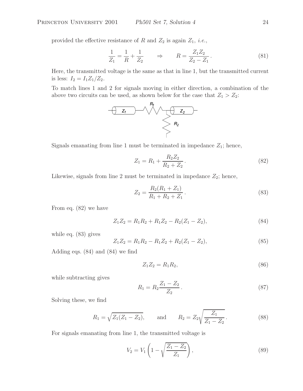provided the effective resistance of R and  $Z_2$  is again  $Z_1$ , *i.e.*,

$$
\frac{1}{Z_1} = \frac{1}{R} + \frac{1}{Z_2} \qquad \Rightarrow \qquad R = \frac{Z_1 Z_2}{Z_2 - Z_1} \,. \tag{81}
$$

Here, the transmitted voltage is the same as that in line 1, but the transmitted current is less:  $I_2 = I_1 Z_1/Z_2$ .

To match lines 1 and 2 for signals moving in either direction, a combination of the



Signals emanating from line 1 must be terminated in impedance  $Z_1$ ; hence,

$$
Z_1 = R_1 + \frac{R_2 Z_2}{R_2 + Z_2}.
$$
\n(82)

Likewise, signals from line 2 must be terminated in impedance  $Z_2$ ; hence,

$$
Z_2 = \frac{R_2(R_1 + Z_1)}{R_1 + R_2 + Z_1}.
$$
\n(83)

From eq. (82) we have

$$
Z_1 Z_2 = R_1 R_2 + R_1 Z_2 - R_2 (Z_1 - Z_2), \tag{84}
$$

while eq. (83) gives

$$
Z_1 Z_2 = R_1 R_2 - R_1 Z_2 + R_2 (Z_1 - Z_2), \tag{85}
$$

Adding eqs. (84) and (84) we find

$$
Z_1 Z_2 = R_1 R_2, \t\t(86)
$$

while subtracting gives

$$
R_1 = R_2 \frac{Z_1 - Z_2}{Z_2} \,. \tag{87}
$$

Solving these, we find

$$
R_1 = \sqrt{Z_1(Z_1 - Z_2)}
$$
, and  $R_2 = Z_2 \sqrt{\frac{Z_1}{Z_1 - Z_2}}$ . (88)

For signals emanating from line 1, the transmitted voltage is

$$
V_2 = V_1 \left( 1 - \sqrt{\frac{Z_1 - Z_2}{Z_1}} \right),\tag{89}
$$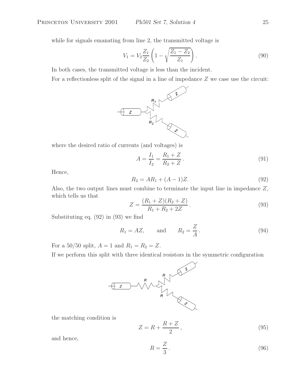while for signals emanating from line 2, the transmitted voltage is

$$
V_1 = V_2 \frac{Z_1}{Z_2} \left( 1 - \sqrt{\frac{Z_1 - Z_2}{Z_1}} \right). \tag{90}
$$

In both cases, the transmitted voltage is less than the incident.

For a reflectionless split of the signal in a line of impedance Z we case use the circuit:



where the desired ratio of currents (and voltages) is

$$
A = \frac{I_1}{I_2} = \frac{R_1 + Z}{R_2 + Z} \,. \tag{91}
$$

Hence,

$$
R_2 = AR_1 + (A - 1)Z.
$$
\n(92)

Also, the two output lines must combine to terminate the input line in impedance Z, which tells us that

$$
Z = \frac{(R_1 + Z)(R_2 + Z)}{R_1 + R_2 + 2Z}.
$$
\n(93)

Substituting eq. (92) in (93) we find

$$
R_1 = AZ, \qquad \text{and} \qquad R_2 = \frac{Z}{A} \,. \tag{94}
$$

For a 50/50 split,  $A = 1$  and  $R_1 = R_2 = Z$ .



the matching condition is

$$
Z = R + \frac{R+Z}{2},\tag{95}
$$

and hence,

$$
R = \frac{Z}{3} \,. \tag{96}
$$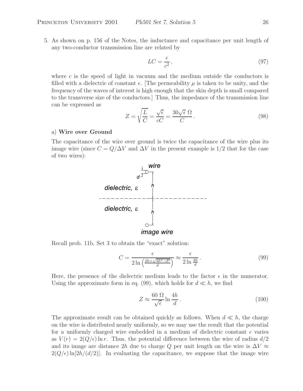5. As shown on p. 156 of the Notes, the inductance and capacitance per unit length of any two-conductor transmission line are related by

$$
LC = \frac{\epsilon}{c^2},\tag{97}
$$

where  $c$  is the speed of light in vacuum and the medium outside the conductors is filled with a dielectric of constant  $\epsilon$ . [The permeability  $\mu$  is taken to be unity, and the frequency of the waves of interest is high enough that the skin depth is small compared to the transverse size of the conductors.] Thus, the impedance of the transmission line can be expressed as

$$
Z = \sqrt{\frac{L}{C}} = \frac{\sqrt{\epsilon}}{cC} = \frac{30\sqrt{\epsilon} \ \Omega}{C}.
$$
\n(98)

#### a) **Wire over Ground**

The capacitance of the wire over ground is twice the capacitance of the wire plus its image wire (since  $C = Q/\Delta V$  and  $\Delta V$  in the present example is 1/2 that for the case of two wires):



Recall prob. 11b, Set 3 to obtain the "exact" solution:

$$
C = \frac{\epsilon}{2\ln\left(\frac{2h + \sqrt{4h^2 - d^2}}{d}\right)} \approx \frac{\epsilon}{2\ln\frac{4h}{d}}.\tag{99}
$$

Here, the presence of the dielectric medium leads to the factor  $\epsilon$  in the numerator. Using the approximate form in eq. (99), which holds for  $d \ll h$ , we find

$$
Z \approx \frac{60 \ \Omega}{\sqrt{\epsilon}} \ln \frac{4h}{d} \,. \tag{100}
$$

The approximate result can be obtained quickly as follows. When  $d \ll h$ , the charge on the wire is distributed nearly uniformly, so we may use the result that the potential for a uniformly charged wire embedded in a medium of dielectric constant  $\epsilon$  varies as  $V(r) = 2(Q/\epsilon) \ln r$ . Thus, the potential difference between the wire of radius  $d/2$ and its image are distance 2h due to charge Q per unit length on the wire is  $\Delta V \approx$  $2(Q/\epsilon) \ln[2h/(d/2)]$ . In evaluating the capacitance, we suppose that the image wire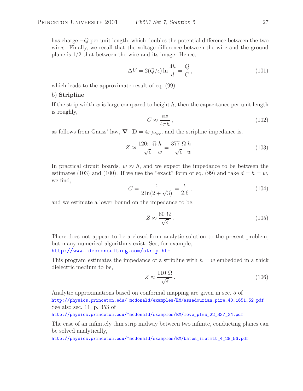has charge −Q per unit length, which doubles the potential difference between the two wires. Finally, we recall that the voltage difference between the wire and the ground plane is 1/2 that between the wire and its image. Hence,

$$
\Delta V = 2(Q/\epsilon) \ln \frac{4h}{d} = \frac{Q}{C},\qquad(101)
$$

which leads to the approximate result of eq. (99).

#### b) **Stripline**

If the strip width  $w$  is large compared to height  $h$ , then the capacitance per unit length is roughly,

$$
C \approx \frac{\epsilon w}{4\pi h},\tag{102}
$$

as follows from Gauss' law,  $\nabla \cdot \mathbf{D} = 4\pi \rho_{\text{free}}$ , and the stripline impedance is,

$$
Z \approx \frac{120\pi \ \Omega}{\sqrt{\epsilon}} \frac{h}{w} = \frac{377 \ \Omega}{\sqrt{\epsilon}} \frac{h}{w} \,. \tag{103}
$$

In practical circuit boards,  $w \approx h$ , and we expect the impedance to be between the estimates (103) and (100). If we use the "exact" form of eq. (99) and take  $d = h = w$ , we find,

$$
C = \frac{\epsilon}{2\ln(2+\sqrt{3})} = \frac{\epsilon}{2.6},\qquad(104)
$$

and we estimate a lower bound on the impedance to be,

$$
Z \approx \frac{80 \ \Omega}{\sqrt{\epsilon}} \,. \tag{105}
$$

There does not appear to be a closed-form analytic solution to the present problem, but many numerical algorithms exist. See, for example,

http://www.ideaconsulting.com/strip.htm

This program estimates the impedance of a stripline with  $h = w$  embedded in a thick dielectric medium to be,  $1100$ 

$$
Z \approx \frac{110 \,\Omega}{\sqrt{\epsilon}}.\tag{106}
$$

Analytic approximations based on conformal mapping are given in sec. 5 of http://physics.princeton.edu/~mcdonald/examples/EM/assadourian\_pire\_40\_1651\_52.pdf See also sec. 11, p. 353 of

http://physics.princeton.edu/~mcdonald/examples/EM/love\_plms\_22\_337\_24.pdf

The case of an infinitely thin strip midway between two infinite, conducting planes can be solved analytically,

http://physics.princeton.edu/~mcdonald/examples/EM/bates\_iretmtt\_4\_28\_56.pdf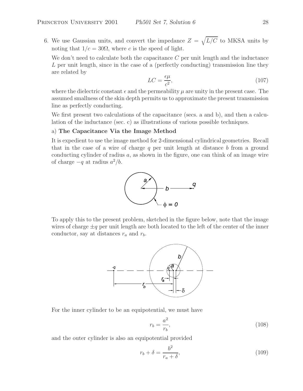6. We use Gaussian units, and convert the impedance  $Z = \sqrt{L/C}$  to MKSA units by noting that  $1/c = 30\Omega$ , where c is the speed of light.

We don't need to calculate both the capacitance  $C$  per unit length and the inductance L per unit length, since in the case of a (perfectly conducting) transmission line they are related by

$$
LC = \frac{\epsilon \mu}{c^2},\tag{107}
$$

where the dielectric constant  $\epsilon$  and the permeability  $\mu$  are unity in the present case. The assumed smallness of the skin depth permits us to approximate the present transmission line as perfectly conducting.

We first present two calculations of the capacitance (secs. a and b), and then a calculation of the inductance (sec. c) as illustrations of various possible techniques.

#### a) **The Capacitance Via the Image Method**

It is expedient to use the image method for 2-dimensional cylindrical geometries. Recall that in the case of a wire of charge  $q$  per unit length at distance  $b$  from a ground conducting cylinder of radius  $a$ , as shown in the figure, one can think of an image wire of charge  $-q$  at radius  $a^2/b$ .



To apply this to the present problem, sketched in the figure below, note that the image wires of charge  $\pm q$  per unit length are both located to the left of the center of the inner conductor, say at distances  $r_a$  and  $r_b$ .



For the inner cylinder to be an equipotential, we must have

$$
r_b = \frac{a^2}{r_b},\tag{108}
$$

and the outer cylinder is also an equipotential provided

$$
r_b + \delta = \frac{b^2}{r_a + \delta},\tag{109}
$$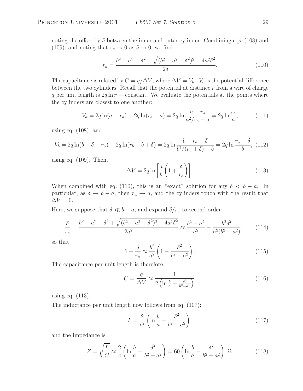noting the offset by  $\delta$  between the inner and outer cylinder. Combining eqs. (108) and (109), and noting that  $r_a \to 0$  as  $\delta \to 0$ , we find

$$
r_a = \frac{b^2 - a^2 - \delta^2 - \sqrt{(b^2 - a^2 - \delta^2)^2 - 4a^2 \delta^2}}{2\delta}.
$$
\n(110)

The capacitance is related by  $C = q/\Delta V$ , where  $\Delta V = V_b - V_a$  is the potential difference between the two cylinders. Recall that the potential at distance  $r$  from a wire of charge q per unit length is  $2q \ln r + \text{constant}$ . We evaluate the potentials at the points where the cylinders are closest to one another:

$$
V_a = 2q \ln(a - r_a) - 2q \ln(r_b - a) = 2q \ln \frac{a - r_a}{a^2/r_a - a} = 2q \ln \frac{r_a}{a},
$$
 (111)

using eq. (108), and

$$
V_b = 2q \ln(b - \delta - r_a) - 2q \ln(r_b - b + \delta) = 2q \ln \frac{b - r_a - \delta}{b^2/(r_a + \delta) - b} = 2q \ln \frac{r_a + \delta}{b}, (112)
$$

using eq. (109). Then,

$$
\Delta V = 2q \ln \left[ \frac{a}{b} \left( 1 + \frac{\delta}{r_a} \right) \right].
$$
 (113)

When combined with eq. (110), this is an "exact" solution for any  $\delta < b - a$ . In particular, as  $\delta \to b - a$ , then  $r_a \to a$ , and the cylinders touch with the result that  $\Delta V = 0.$ 

Here, we suppose that  $\delta \ll b - a$ , and expand  $\delta / r_a$  to second order:

$$
\frac{\delta}{r_a} = \frac{b^2 - a^2 - \delta^2 + \sqrt{(b^2 - a^2 - \delta^2)^2 - 4a^2 \delta^2}}{2a^2} \approx \frac{b^2 - a^2}{a^2} - \frac{b^2 \delta^2}{a^2 (b^2 - a^2)},\tag{114}
$$

so that

$$
1 + \frac{\delta}{r_a} \approx \frac{b^2}{a^2} \left( 1 - \frac{\delta^2}{b^2 - a^2} \right). \tag{115}
$$

The capacitance per unit length is therefore,

$$
C = \frac{q}{\Delta V} \approx \frac{1}{2\left(\ln\frac{b}{a} - \frac{\delta^2}{b^2 - a^2}\right)},\tag{116}
$$

using eq. (113).

The inductance per unit length now follows from eq. (107):

$$
L = \frac{2}{c^2} \left( \ln \frac{b}{a} - \frac{\delta^2}{b^2 - a^2} \right),
$$
\n(117)

and the impedance is

$$
Z = \sqrt{\frac{L}{C}} \approx \frac{2}{c} \left( \ln \frac{b}{a} - \frac{\delta^2}{b^2 - a^2} \right) = 60 \left( \ln \frac{b}{a} - \frac{\delta^2}{b^2 - a^2} \right) \Omega.
$$
 (118)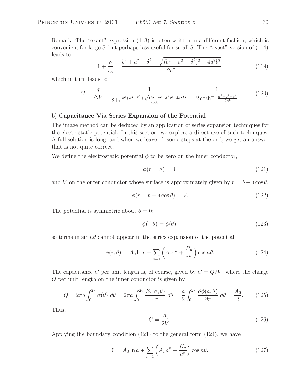Remark: The "exact" expression (113) is often written in a different fashion, which is convenient for large  $\delta$ , but perhaps less useful for small  $\delta$ . The "exact" version of (114) leads to

$$
1 + \frac{\delta}{r_a} = \frac{b^2 + a^2 - \delta^2 + \sqrt{(b^2 + a^2 - \delta^2)^2 - 4a^2b^2}}{2a^2},
$$
\n(119)

which in turn leads to

$$
C = \frac{q}{\Delta V} = \frac{1}{2 \ln \frac{b^2 + a^2 - \delta^2 + \sqrt{(b^2 + a^2 - \delta^2)^2 - 4a^2 b^2}}{2ab}} = \frac{1}{2 \cosh^{-1} \frac{a^2 + b^2 - \delta^2}{2ab}}.
$$
(120)

#### b) **Capacitance Via Series Expansion of the Potential**

The image method can be deduced by an application of series expansion techniques for the electrostatic potential. In this section, we explore a direct use of such techniques. A full solution is long, and when we leave off some steps at the end, we get an answer that is not quite correct.

We define the electrostatic potential  $\phi$  to be zero on the inner conductor,

$$
\phi(r=a) = 0,\tag{121}
$$

and V on the outer conductor whose surface is approximately given by  $r = b + \delta \cos \theta$ ,

$$
\phi(r = b + \delta \cos \theta) = V. \tag{122}
$$

The potential is symmetric about  $\theta = 0$ :

$$
\phi(-\theta) = \phi(\theta),\tag{123}
$$

so terms in  $\sin n\theta$  cannot appear in the series expansion of the potential:

$$
\phi(r,\theta) = A_0 \ln r + \sum_{n=1} \left( A_n r^n + \frac{B_n}{r^n} \right) \cos n\theta.
$$
 (124)

The capacitance C per unit length is, of course, given by  $C = Q/V$ , where the charge Q per unit length on the inner conductor is given by

$$
Q = 2\pi a \int_0^{2\pi} \sigma(\theta) \ d\theta = 2\pi a \int_0^{2\pi} \frac{E_r(a,\theta)}{4\pi} \ d\theta = \frac{a}{2} \int_0^{2\pi} \frac{\partial \phi(a,\theta)}{\partial r} \ d\theta = \frac{A_0}{2}.\tag{125}
$$

Thus,

$$
C = \frac{A_0}{2V}.\tag{126}
$$

Applying the boundary condition (121) to the general form (124), we have

$$
0 = A_0 \ln a + \sum_{n=1} \left( A_n a^n + \frac{B_n}{a^n} \right) \cos n\theta.
$$
 (127)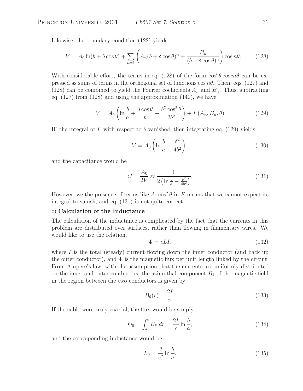Likewise, the boundary condition (122) yields

$$
V = A_0 \ln(b + \delta \cos \theta) + \sum_{n=1}^{\infty} \left( A_n (b + \delta \cos \theta)^n + \frac{B_n}{(b + \delta \cos \theta)^n} \right) \cos n\theta.
$$
 (128)

With considerable effort, the terms in eq. (128) of the form  $\cos^{\theta} \theta \cos m\theta$  can be expressed as sums of terms in the orthogonal set of functions  $\cos n\theta$ . Then, eqs. (127) and (128) can be combined to yield the Fourier coefficients  $A_n$  and  $B_n$ . Thus, subtracting eq. (127) from (128) and using the approximation (140), we have

$$
V = A_0 \left( \ln \frac{b}{a} + \frac{\delta \cos \theta}{b} - \frac{\delta^2 \cos^2 \theta}{2b^2} \right) + F(A_n, B_n, \theta)
$$
 (129)

IF the integral of F with respect to  $\theta$  vanished, then integrating eq. (129) yields

$$
V = A_0 \left( \ln \frac{b}{a} - \frac{\delta^2}{4b^2} \right),\tag{130}
$$

and the capacitance would be

$$
C = \frac{A_0}{2V} \approx \frac{1}{2\left(\ln\frac{b}{a} - \frac{\delta^2}{4b^2}\right)}.\tag{131}
$$

However, we the presence of terms like  $A_1 \cos^2 \theta$  in F means that we cannot expect its integral to vanish, and eq. (131) is not quite correct.

## c) **Calculation of the Inductance**

The calculation of the inductance is complicated by the fact that the currents in this problem are distributed over surfaces, rather than flowing in filamentary wires. We would like to use the relation,

$$
\Phi = cLI,\tag{132}
$$

where  $I$  is the total (steady) current flowing down the inner conductor (and back up the outer conductor), and  $\Phi$  is the magnetic flux per unit length linked by the circuit. From Ampere's law, with the assumption that the currents are uniformly distributed on the inner and outer conductors, the azimuthal component  $B_{\theta}$  of the magnetic field in the region between the two conductors is given by

$$
B_{\theta}(r) = \frac{2I}{cr}.\tag{133}
$$

If the cable were truly coaxial, the flux would be simply

$$
\Phi_0 = \int_a^b B_\theta \, dr = \frac{2I}{c} \ln \frac{b}{a},\tag{134}
$$

and the corresponding inductance would be

$$
L_0 = \frac{2}{c^2} \ln \frac{b}{a}.\tag{135}
$$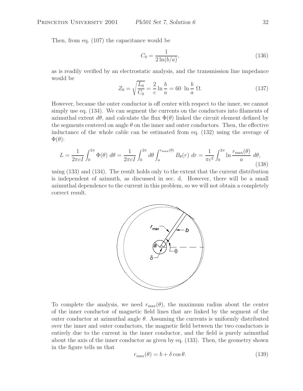Then, from eq. (107) the capacitance would be

$$
C_0 = \frac{1}{2\ln(b/a)},\tag{136}
$$

as is readily verified by an electrostatic analysis, and the transmission line impedance would be

$$
Z_0 = \sqrt{\frac{L_0}{C_0}} = \frac{2}{c} \ln \frac{b}{a} = 60 \ln \frac{b}{a} \Omega.
$$
 (137)

However, because the outer conductor is off center with respect to the inner, we cannot simply use eq. (134). We can segment the currents on the conductors into filaments of azimuthal extent  $d\theta$ , and calculate the flux  $\Phi(\theta)$  linked the circuit element defined by the segments centered on angle  $\theta$  on the inner and outer conductors. Then, the effective inductance of the whole cable can be estimated from eq. (132) using the average of  $\Phi(\theta)$ :

$$
L = \frac{1}{2\pi cI} \int_0^{2\pi} \Phi(\theta) d\theta = \frac{1}{2\pi cI} \int_0^{2\pi} d\theta \int_a^{r_{\text{max}}(\theta)} B_\theta(r) dr = \frac{1}{\pi c^2} \int_0^{2\pi} \ln \frac{r_{\text{max}}(\theta)}{a} d\theta,
$$
\n(138)

using (133) and (134). The result holds only to the extent that the current distribution is independent of azimuth, as discussed in sec. d. However, there will be a small azimuthal dependence to the current in this problem, so we will not obtain a completely correct result.



To complete the analysis, we need  $r_{\text{max}}(\theta)$ , the maximum radius about the center of the inner conductor of magnetic field lines that are linked by the segment of the outer conductor at azimuthal angle  $\theta$ . Assuming the currents is uniformly distributed over the inner and outer conductors, the magnetic field between the two conductors is entirely due to the current in the inner conductor, and the field is purely azimuthal about the axis of the inner conductor as given by eq. (133). Then, the geometry shown in the figure tells us that

$$
r_{\text{max}}(\theta) = b + \delta \cos \theta. \tag{139}
$$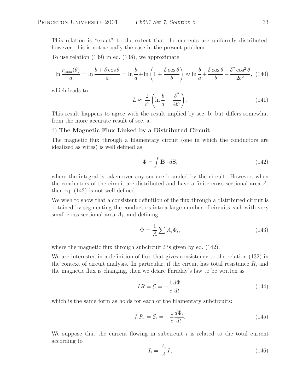This relation is "exact" to the extent that the currents are uniformly distributed; however, this is not actually the case in the present problem.

To use relation (139) in eq. (138), we approximate

$$
\ln \frac{r_{\text{max}}(\theta)}{a} = \ln \frac{b + \delta \cos \theta}{a} = \ln \frac{b}{a} + \ln \left( 1 + \frac{\delta \cos \theta}{b} \right) \approx \ln \frac{b}{a} + \frac{\delta \cos \theta}{b} - \frac{\delta^2 \cos^2 \theta}{2b^2},
$$
(140)

which leads to

$$
L \approx \frac{2}{c^2} \left( \ln \frac{b}{a} - \frac{\delta^2}{4b^2} \right). \tag{141}
$$

This result happens to agree with the result implied by sec. b, but differs somewhat from the more accurate result of sec. a.

### d) **The Magnetic Flux Linked by a Distributed Circuit**

The magnetic flux through a filamentary circuit (one in which the conductors are idealized as wires) is well defined as

$$
\Phi = \int \mathbf{B} \cdot d\mathbf{S},\tag{142}
$$

where the integral is taken over any surface bounded by the circuit. However, when the conductors of the circuit are distributed and have a finite cross sectional area A, then eq. (142) is not well defined.

We wish to show that a consistent definition of the flux through a distributed circuit is obtained by segmenting the conductors into a large number of circuits each with very small cross sectional area  $A_i$ , and defining

$$
\Phi = \frac{1}{A} \sum_{i} A_i \Phi_i,\tag{143}
$$

where the magnetic flux through subcircuit  $i$  is given by eq. (142).

We are interested in a definition of flux that gives consistency to the relation (132) in the context of circuit analysis. In particular, if the circuit has total resistance  $R$ , and the magnetic flux is changing, then we desire Faraday's law to be written as

$$
IR = \mathcal{E} = -\frac{1}{c}\frac{d\Phi}{dt},\tag{144}
$$

which is the same form as holds for each of the filamentary subcircuits:

$$
I_i R_i = \mathcal{E}_i = -\frac{1}{c} \frac{d\Phi_i}{dt}.
$$
\n(145)

We suppose that the current flowing in subcircuit  $i$  is related to the total current according to

$$
I_i = \frac{A_i}{A}I,\tag{146}
$$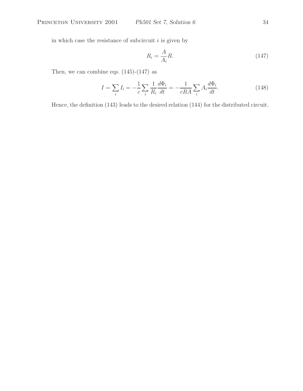in which case the resistance of subcircuit  $i$  is given by

$$
R_i = \frac{A}{A_i}R.\t(147)
$$

Then, we can combine eqs.  $(145)-(147)$  as

$$
I = \sum_{i} I_i = -\frac{1}{c} \sum_{i} \frac{1}{R_i} \frac{d\Phi_i}{dt} = -\frac{1}{cRA} \sum_{i} A_i \frac{d\Phi_i}{dt}.
$$
 (148)

Hence, the definition (143) leads to the desired relation (144) for the distributed circuit.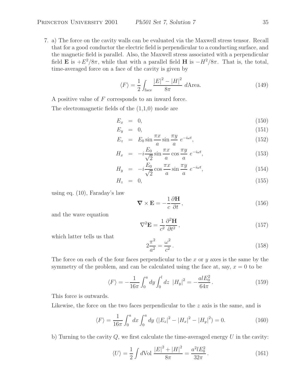7. a) The force on the cavity walls can be evaluated via the Maxwell stress tensor. Recall that for a good conductor the electric field is perpendicular to a conducting surface, and the magnetic field is parallel. Also, the Maxwell stress associated with a perpendicular field **E** is  $+E^2/8\pi$ , while that with a parallel field **H** is  $-H^2/8\pi$ . That is, the total, time-averaged force on a face of the cavity is given by

$$
\langle F \rangle = \frac{1}{2} \int_{\text{face}} \frac{|E|^2 - |H|^2}{8\pi} d\text{Area.}
$$
 (149)

A positive value of F corresponds to an inward force.

The electromagnetic fields of the (1,1,0) mode are

$$
E_x = 0, \tag{150}
$$

$$
E_y = 0, \tag{151}
$$

$$
E_z = E_0 \sin \frac{\pi x}{a} \sin \frac{\pi y}{a} e^{-i\omega t}, \qquad (152)
$$

$$
H_x = -i\frac{E_0}{\sqrt{2}}\sin\frac{\pi x}{a}\cos\frac{\pi y}{a}e^{-i\omega t},\qquad(153)
$$

$$
H_y = -i\frac{E_0}{\sqrt{2}}\cos\frac{\pi x}{a}\sin\frac{\pi y}{a}e^{-i\omega t},\qquad(154)
$$

$$
H_z = 0, \t\t(155)
$$

using eq. (10), Faraday's law

$$
\nabla \times \mathbf{E} = -\frac{1}{c} \frac{\partial \mathbf{H}}{\partial t},\qquad(156)
$$

and the wave equation

$$
\nabla^2 \mathbf{E} = \frac{1}{c^2} \frac{\partial^2 \mathbf{H}}{\partial t^2},\tag{157}
$$

which latter tells us that

$$
2\frac{\pi^2}{a^2} = \frac{\omega^2}{c^2}.
$$
\n(158)

The force on each of the four faces perpendicular to the x or  $y$  axes is the same by the symmetry of the problem, and can be calculated using the face at, say,  $x = 0$  to be

$$
\langle F \rangle = -\frac{1}{16\pi} \int_0^a dy \int_0^l dz \ |H_y|^2 = -\frac{alE_0^2}{64\pi}.
$$
 (159)

This force is outwards.

Likewise, the force on the two faces perpendicular to the z axis is the same, and is

$$
\langle F \rangle = \frac{1}{16\pi} \int_0^a dx \int_0^a dy \ (|E_z|^2 - |H_x|^2 - |H_y|^2) = 0. \tag{160}
$$

b) Turning to the cavity  $Q$ , we first calculate the time-averaged energy  $U$  in the cavity:

$$
\langle U \rangle = \frac{1}{2} \int d \text{Vol} \, \frac{|E|^2 + |H|^2}{8\pi} = \frac{a^2 l E_0^2}{32\pi} \,. \tag{161}
$$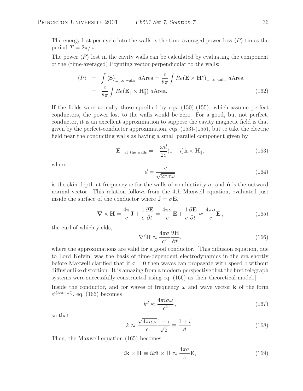The energy lost per cycle into the walls is the time-averaged power loss  $\langle P \rangle$  times the period  $T = 2\pi/\omega$ .

The power  $\langle P \rangle$  lost in the cavity walls can be calculated by evaluating the component of the (time-averaged) Poynting vector perpendicular to the walls:

$$
\langle P \rangle = \int \langle \mathbf{S} \rangle_{\perp \text{ to walls}} d\text{Area} = \frac{c}{8\pi} \int Re(\mathbf{E} \times \mathbf{H}^*)_{\perp \text{ to walls}} d\text{Area}
$$
  
=  $\frac{c}{8\pi} \int Re(\mathbf{E}_{\parallel} \times \mathbf{H}_{\parallel}^*) d\text{Area}.$  (162)

If the fields were actually those specified by eqs. (150)-(155), which assume perfect conductors, the power lost to the walls would be zero. For a good, but not perfect, conductor, it is an excellent approximation to suppose the cavity magnetic field is that given by the perfect-conductor approximation, eqs. (153)-(155), but to take the electric field near the conducting walls as having a small parallel component given by

$$
\mathbf{E}_{\parallel \text{ at the walls}} = -\frac{\omega d}{2c}(1-i)\hat{\mathbf{n}} \times \mathbf{H}_{\parallel},\tag{163}
$$

where

$$
d = \frac{c}{\sqrt{2\pi\sigma\omega}}\tag{164}
$$

is the skin depth at frequency  $\omega$  for the walls of conductivity  $\sigma$ , and  $\hat{\bf n}$  is the outward normal vector. This relation follows from the 4th Maxwell equation, evaluated just inside the surface of the conductor where  $\mathbf{J} = \sigma \mathbf{E}$ ,

$$
\nabla \times \mathbf{H} = \frac{4\pi}{c} \mathbf{J} + \frac{1}{c} \frac{\partial \mathbf{E}}{\partial t} = \frac{4\pi\sigma}{c} \mathbf{E} + \frac{1}{c} \frac{\partial \mathbf{E}}{\partial t} \approx \frac{4\pi\sigma}{c} \mathbf{E},
$$
(165)

the curl of which yields,

$$
\nabla^2 \mathbf{H} \approx \frac{4\pi\sigma}{c^2} \frac{\partial \mathbf{H}}{\partial t},\tag{166}
$$

where the approximations are valid for a good conductor. [This diffusion equation, due to Lord Kelvin, was the basis of time-dependent electrodynamics in the era shortly before Maxwell clarified that if  $\sigma = 0$  then waves can propagate with speed c without diffusionlike distortion. It is amazing from a modern perspective that the first telegraph systems were successfully constructed using eq. (166) as their theoretical model.]

Inside the conductor, and for waves of frequency  $\omega$  and wave vector **k** of the form  $e^{i(\mathbf{k}\cdot\mathbf{x}-\omega t)}$ , eq. (166) becomes

$$
k^2 \approx \frac{4\pi i \sigma \omega}{c^2},\tag{167}
$$

so that

$$
k \approx \frac{\sqrt{4\pi\sigma\omega}}{c} \frac{1+i}{\sqrt{2}} \equiv \frac{1+i}{d} \,. \tag{168}
$$

Then, the Maxwell equation (165) becomes

$$
i\mathbf{k} \times \mathbf{H} \equiv ik\hat{\mathbf{n}} \times \mathbf{H} \approx \frac{4\pi\sigma}{c} \mathbf{E},\tag{169}
$$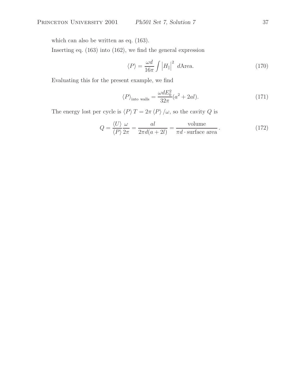which can also be written as eq. (163).

Inserting eq. (163) into (162), we find the general expression

$$
\langle P \rangle = \frac{\omega d}{16\pi} \int \left| H_{\parallel} \right|^2 \, d\text{Area.} \tag{170}
$$

Evaluating this for the present example, we find

$$
\langle P \rangle_{\text{into walls}} = \frac{\omega dE_0^2}{32\pi} (a^2 + 2al). \tag{171}
$$

The energy lost per cycle is  $\langle P \rangle$   $T$  =  $2\pi$   $\langle P \rangle$   $/ \omega,$  so the cavity  $Q$  is

$$
Q = \frac{\langle U \rangle}{\langle P \rangle 2\pi} = \frac{al}{2\pi d(a+2l)} = \frac{\text{volume}}{\pi d \cdot \text{surface area}}.
$$
 (172)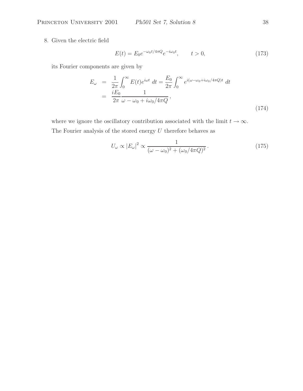8. Given the electric field

$$
E(t) = E_0 e^{-\omega_0 t / 4\pi Q} e^{-i\omega_0 t}, \qquad t > 0,
$$
\n(173)

its Fourier components are given by

$$
E_{\omega} = \frac{1}{2\pi} \int_0^{\infty} E(t)e^{i\omega t} dt = \frac{E_0}{2\pi} \int_0^{\infty} e^{i(\omega - \omega_0 + i\omega_0/4\pi Q)t} dt
$$
  
= 
$$
\frac{iE_0}{2\pi} \frac{1}{\omega - \omega_0 + i\omega_0/4\pi Q},
$$
(174)

where we ignore the oscillatory contribution associated with the limit  $t \to \infty$ . The Fourier analysis of the stored energy  $U$  therefore behaves as

$$
U_{\omega} \propto |E_{\omega}|^2 \propto \frac{1}{(\omega - \omega_0)^2 + (\omega_0/4\pi Q)^2}.
$$
 (175)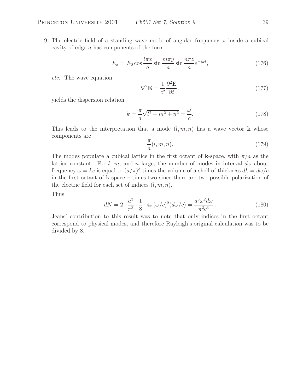$$
E_x = E_0 \cos \frac{l\pi x}{a} \sin \frac{m\pi y}{a} \sin \frac{n\pi z}{a} e^{-i\omega t},\tag{176}
$$

*etc.* The wave equation,

$$
\nabla^2 \mathbf{E} = \frac{1}{c^2} \frac{\partial^2 \mathbf{E}}{\partial t},\tag{177}
$$

yields the dispersion relation

$$
k = -\frac{\pi}{a}\sqrt{l^2 + m^2 + n^2} = \frac{\omega}{c}.
$$
 (178)

This leads to the interpretation that a mode  $(l, m, n)$  has a wave vector **k** whose components are

$$
\frac{\pi}{a}(l, m, n). \tag{179}
$$

The modes populate a cubical lattice in the first octant of **k**-space, with  $\pi/a$  as the lattice constant. For l, m, and n large, the number of modes in interval  $d\omega$  about frequency  $\omega = kc$  is equal to  $(a/\pi)^3$  times the volume of a shell of thickness  $dk = d\omega/c$ in the first octant of **k**-space – times two since there are two possible polarization of the electric field for each set of indices  $(l, m, n)$ .

Thus,

$$
dN = 2 \cdot \frac{a^3}{\pi^3} \cdot \frac{1}{8} \cdot 4\pi (\omega/c)^2 (d\omega/c) = \frac{a^3 \omega^2 d\omega}{\pi^2 c^3} \,. \tag{180}
$$

Jeans' contribution to this result was to note that only indices in the first octant correspond to physical modes, and therefore Rayleigh's original calculation was to be divided by 8.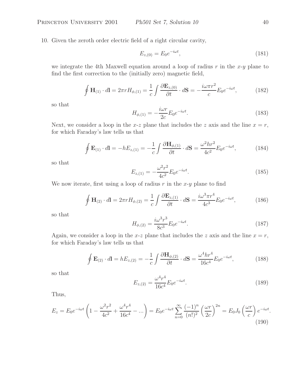10. Given the zeroth order electric field of a right circular cavity,

$$
E_{z,(0)} = E_0 e^{-i\omega t},\tag{181}
$$

we integrate the 4th Maxwell equation around a loop of radius  $r$  in the  $x-y$  plane to find the first correction to the (initially zero) magnetic field,

$$
\oint \mathbf{H}_{(1)} \cdot d\mathbf{l} = 2\pi r H_{\phi,(1)} = \frac{1}{c} \int \frac{\partial \mathbf{E}_{z,(0)}}{\partial t} \cdot d\mathbf{S} = -\frac{i\omega \pi r^2}{c} E_0 e^{-i\omega t},\tag{182}
$$

so that

$$
H_{\phi,(1)} = -\frac{i\omega r}{2c} E_0 e^{-i\omega t}.
$$
\n(183)

Next, we consider a loop in the x-z plane that includes the z axis and the line  $x = r$ , for which Faraday's law tells us that

$$
\oint \mathbf{E}_{(1)} \cdot d\mathbf{l} = -hE_{z,(1)} = -\frac{1}{c} \int \frac{\partial \mathbf{H}_{\phi,(1)}}{\partial t} \cdot d\mathbf{S} = \frac{\omega^2 hr^2}{4c^2} E_0 e^{-i\omega t},\tag{184}
$$

so that

$$
E_{z,(1)} = -\frac{\omega^2 r^2}{4c^2} E_0 e^{-i\omega t}.
$$
\n(185)

We now iterate, first using a loop of radius  $r$  in the  $x-y$  plane to find

$$
\oint \mathbf{H}_{(2)} \cdot d\mathbf{l} = 2\pi r H_{\phi,(2)} = \frac{1}{c} \int \frac{\partial \mathbf{E}_{z,(1)}}{\partial t} \cdot d\mathbf{S} = \frac{i\omega^3 \pi r^4}{4c^3} E_0 e^{-i\omega t},\tag{186}
$$

so that

$$
H_{\phi,(2)} = \frac{i\omega^3 r^3}{8c^3} E_0 e^{-i\omega t}.
$$
\n(187)

Again, we consider a loop in the x-z plane that includes the z axis and the line  $x = r$ , for which Faraday's law tells us that

$$
\oint \mathbf{E}_{(2)} \cdot d\mathbf{l} = hE_{z,(2)} = -\frac{1}{c} \int \frac{\partial \mathbf{H}_{\phi,(2)}}{\partial t} \cdot d\mathbf{S} = \frac{\omega^4 h r^4}{16c^4} E_0 e^{-i\omega t},\tag{188}
$$

so that

$$
E_{z,(2)} = \frac{\omega^4 r^4}{16c^4} E_0 e^{-i\omega t}.
$$
\n(189)

Thus,

$$
E_z = E_0 e^{-i\omega t} \left( 1 - \frac{\omega^2 r^2}{4c^2} + \frac{\omega^4 r^4}{16c^4} - \dots \right) = E_0 e^{-i\omega t} \sum_{n=0}^{\infty} \frac{(-1)^n}{(n!)^2} \left( \frac{\omega r}{2c} \right)^{2n} = E_0 J_0 \left( \frac{\omega r}{c} \right) e^{-i\omega t}.
$$
\n(190)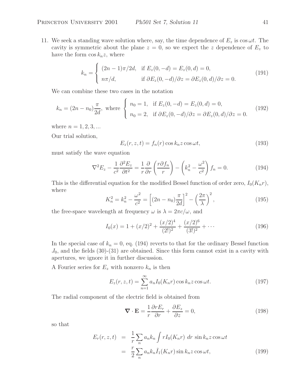11. We seek a standing wave solution where, say, the time dependence of  $E_z$  is  $\cos \omega t$ . The cavity is symmetric about the plane  $z = 0$ , so we expect the z dependence of  $E<sub>z</sub>$  to have the form  $\cos k_n z$ , where

$$
k_n = \begin{cases} (2n-1)\pi/2d, & \text{if } E_z(0, -d) = E_z(0, d) = 0, \\ n\pi/d, & \text{if } \partial E_z(0, -d)/\partial z = \partial E_z(0, d)/\partial z = 0. \end{cases}
$$
(191)

We can combine these two cases in the notation

$$
k_n = (2n - n_0)\frac{\pi}{2d}, \text{ where }\begin{cases} n_0 = 1, & \text{if } E_z(0, -d) = E_z(0, d) = 0, \\ n_0 = 2, & \text{if } \partial E_z(0, -d)/\partial z = \partial E_z(0, d)/\partial z = 0. \end{cases}
$$
(192)

where  $n = 1, 2, 3, ...$ 

Our trial solution,

$$
E_z(r, z, t) = f_n(r) \cos k_n z \cos \omega t, \qquad (193)
$$

must satisfy the wave equation

$$
\nabla^2 E_z - \frac{1}{c^2} \frac{\partial^2 E_z}{\partial t^2} = \frac{1}{r} \frac{\partial}{\partial r} \left( \frac{r \partial f_n}{r} \right) - \left( k_n^2 - \frac{\omega^2}{c^2} \right) f_n = 0. \tag{194}
$$

This is the differential equation for the modified Bessel function of order zero,  $I_0(K_n r)$ , where

$$
K_n^2 = k_n^2 - \frac{\omega^2}{c^2} = \left[ (2n - n_0) \frac{\pi}{2d} \right]^2 - \left( \frac{2\pi}{\lambda} \right)^2,
$$
\n(195)

the free-space wavelength at frequency  $\omega$  is  $\lambda = 2\pi c/\omega$ , and

$$
I_0(x) = 1 + (x/2)^2 + \frac{(x/2)^4}{(2!)^2} + \frac{(x/2)^6}{(3!)^2} + \cdots
$$
 (196)

In the special case of  $k_n = 0$ , eq. (194) reverts to that for the ordinary Bessel function  $J_0$ , and the fields  $(30)-(31)$  are obtained. Since this form cannot exist in a cavity with apertures, we ignore it in further discussion.

A Fourier series for  $E_z$  with nonzero  $k_n$  is then

$$
E_z(r, z, t) = \sum_{n=1}^{\infty} a_n I_0(K_n r) \cos k_n z \cos \omega t.
$$
 (197)

The radial component of the electric field is obtained from

$$
\nabla \cdot \mathbf{E} = \frac{1}{r} \frac{\partial r E_r}{\partial r} + \frac{\partial E_z}{\partial z} = 0,
$$
\n(198)

so that

$$
E_r(r, z, t) = \frac{1}{r} \sum_n a_n k_n \int r I_0(K_n r) dr \sin k_n z \cos \omega t
$$
  

$$
= \frac{r}{2} \sum_n a_n k_n \tilde{I}_1(K_n r) \sin k_n z \cos \omega t,
$$
 (199)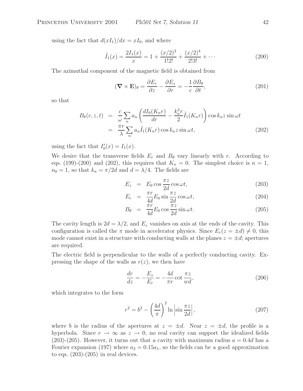using the fact that  $d(xI_1)/dx = xI_0$ , and where

$$
\tilde{I}_1(x) = \frac{2I_1(x)}{x} = 1 + \frac{(x/2)^2}{1!2!} + \frac{(x/2)^4}{2!3!} + \cdots
$$
\n(200)

The azimuthal component of the magnetic field is obtained from

$$
(\nabla \times \mathbf{E})_{\theta} = \frac{\partial E_r}{\partial z} - \frac{\partial E_z}{\partial r} = -\frac{1}{c} \frac{\partial B_{\theta}}{\partial t},\tag{201}
$$

so that

$$
B_{\theta}(r, z, t) = \frac{c}{\omega} \sum_{n} a_n \left( \frac{dI_0(K_n r)}{dr} - \frac{k_n^2 r}{2} \tilde{I}_1(K_n r) \right) \cos k_n z \sin \omega t
$$
  

$$
= \frac{\pi r}{\lambda} \sum_{n} a_n \tilde{I}_1(K_n r) \cos k_n z \sin \omega t,
$$
 (202)

using the fact that  $I'_0(x) = I_1(x)$ .

We desire that the transverse fields  $E_r$  and  $B_\theta$  vary linearly with r. According to eqs. (199)-(200) and (202), this requires that  $K_n = 0$ . The simplest choice is  $n = 1$ ,  $n_0 = 1$ , so that  $k_n = \pi/2d$  and  $d = \lambda/4$ . The fields are

$$
E_z = E_0 \cos \frac{\pi z}{2d} \cos \omega t, \qquad (203)
$$

$$
E_r = \frac{\pi r}{4d} E_0 \sin \frac{\pi z}{2d} \cos \omega t, \qquad (204)
$$

$$
B_{\theta} = \frac{\pi r}{4d} E_0 \cos \frac{\pi z}{2d} \sin \omega t.
$$
 (205)

The cavity length is  $2d = \lambda/2$ , and  $E_z$  vanishes on axis at the ends of the cavity. This configuration is called the  $\pi$  mode in accelerator physics. Since  $E_r(z = \pm d) \neq 0$ , this mode cannot exist in a structure with conducting walls at the planes  $z = \pm d$ ; apertures are required.

The electric field is perpendicular to the walls of a perfectly conducting cavity. Expressing the shape of the walls as  $r(z)$ , we then have

$$
\frac{dr}{dz} = -\frac{E_z}{E_r} = -\frac{4d}{\pi r} \cot \frac{\pi z}{wd},\tag{206}
$$

which integrates to the form

$$
r^2 = b^2 - \left(\frac{4d}{\pi}\right)^2 \ln \left|\sin \frac{\pi z}{2d}\right|,\tag{207}
$$

where b is the radius of the apertures at  $z = \pm d$ . Near  $z = \pm d$ , the profile is a hyperbola. Since  $r \to \infty$  as  $z \to 0$ , no real cavity can support the idealized fields  $(203)-(205)$ . However, it turns out that a cavity with maximum radius  $a = 0.4d$  has a Fourier expansion (197) where  $a_2 = 0.15a_1$ , so the fields can be a good approximation to eqs.  $(203)-(205)$  in real devices.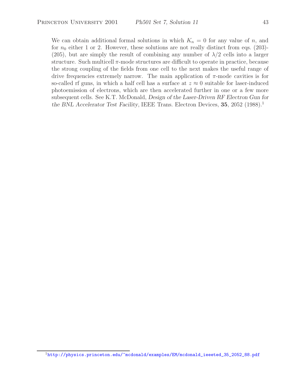We can obtain additional formal solutions in which  $K_n = 0$  for any value of n, and for  $n_0$  either 1 or 2. However, these solutions are not really distinct from eqs. (203)-(205), but are simply the result of combining any number of  $\lambda/2$  cells into a larger structure. Such multicell  $\pi$ -mode structures are difficult to operate in practice, because the strong coupling of the fields from one cell to the next makes the useful range of drive frequencies extremely narrow. The main application of  $\pi$ -mode cavities is for so-called rf guns, in which a half cell has a surface at  $z \approx 0$  suitable for laser-induced photoemission of electrons, which are then accelerated further in one or a few more subsequent cells. See K.T. McDonald, *Design of the Laser-Driven RF Electron Gun for the BNL Accelerator Test Facility*, IEEE Trans. Electron Devices, 35, 2052 (1988).<sup>1</sup>

<sup>&</sup>lt;sup>1</sup>http://physics.princeton.edu/~mcdonald/examples/EM/mcdonald\_ieeeted\_35\_2052\_88.pdf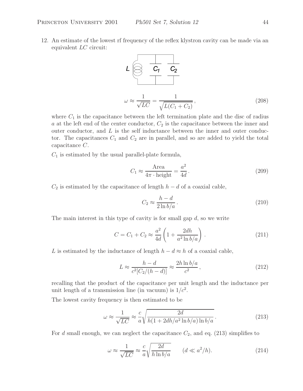12. An estimate of the lowest rf frequency of the reflex klystron cavity can be made via an equivalent LC circuit:



where  $C_1$  is the capacitance between the left termination plate and the disc of radius a at the left end of the center conductor,  $C_2$  is the capacitance between the inner and outer conductor, and  $L$  is the self inductance between the inner and outer conductor. The capacitances  $C_1$  and  $C_2$  are in parallel, and so are added to yield the total capacitance C.

 $C_1$  is estimated by the usual parallel-plate formula,

$$
C_1 \approx \frac{\text{Area}}{4\pi \cdot \text{height}} = \frac{a^2}{4d}.
$$
 (209)

 $C_2$  is estimated by the capacitance of length  $h - d$  of a coaxial cable,

$$
C_2 \approx \frac{h - d}{2 \ln b/a} \,. \tag{210}
$$

The main interest in this type of cavity is for small gap  $d$ , so we write

$$
C = C_1 + C_2 \approx \frac{a^2}{4d} \left( 1 + \frac{2dh}{a^2 \ln b/a} \right).
$$
 (211)

L is estimated by the inductance of length  $h - d \approx h$  of a coaxial cable,

$$
L \approx \frac{h - d}{c^2 [C_2/(h - d)]} \approx \frac{2h \ln b/a}{c^2},
$$
\n(212)

recalling that the product of the capacitance per unit length and the inductance per unit length of a transmission line (in vacuum) is  $1/c<sup>2</sup>$ .

The lowest cavity frequency is then estimated to be

$$
\omega \approx \frac{1}{\sqrt{LC}} \approx \frac{c}{a} \sqrt{\frac{2d}{h(1 + 2dh/a^2 \ln b/a) \ln b/a}}.
$$
\n(213)

For d small enough, we can neglect the capacitance  $C_2$ , and eq. (213) simplifies to

$$
\omega \approx \frac{1}{\sqrt{LC}} \approx \frac{c}{a} \sqrt{\frac{2d}{h \ln b/a}} \qquad (d \ll a^2/h). \tag{214}
$$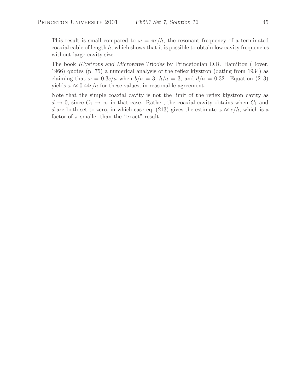This result is small compared to  $\omega = \pi c/h$ , the resonant frequency of a terminated coaxial cable of length  $h$ , which shows that it is possible to obtain low cavity frequencies without large cavity size.

The book *Klystrons and Microwave Triodes* by Princetonian D.R. Hamilton (Dover, 1966) quotes (p. 75) a numerical analysis of the reflex klystron (dating from 1934) as claiming that  $\omega = 0.3c/a$  when  $b/a = 3$ ,  $h/a = 3$ , and  $d/a = 0.32$ . Equation (213) yields  $\omega \approx 0.44c/a$  for these values, in reasonable agreement.

Note that the simple coaxial cavity is not the limit of the reflex klystron cavity as  $d \to 0$ , since  $C_1 \to \infty$  in that case. Rather, the coaxial cavity obtains when  $C_1$  and d are both set to zero, in which case eq. (213) gives the estimate  $\omega \approx c/h$ , which is a factor of  $\pi$  smaller than the "exact" result.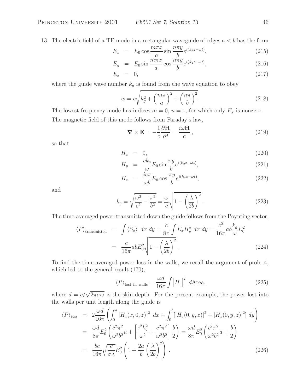13. The electric field of a TE mode in a rectangular waveguide of edges  $a < b$  has the form

$$
E_x = E_0 \cos \frac{m\pi x}{a} \sin \frac{n\pi y}{b} e^{i(k_g z - \omega t)}, \qquad (215)
$$

$$
E_y = E_0 \sin \frac{m\pi x}{a} \cos \frac{n\pi y}{b} e^{i(k_g z - \omega t)}, \qquad (216)
$$

$$
E_z = 0, \t\t(217)
$$

where the guide wave number  $k_g$  is found from the wave equation to obey

$$
w = c\sqrt{k_g^2 + \left(\frac{m\pi}{a}\right)^2 + \left(\frac{n\pi}{b}\right)^2}.
$$
\n(218)

The lowest frequency mode has indices  $m = 0$ ,  $n = 1$ , for which only  $E_x$  is nonzero. The magnetic field of this mode follows from Faraday's law,

$$
\nabla \times \mathbf{E} = -\frac{1}{c} \frac{\partial \mathbf{H}}{\partial t} = \frac{i\omega \mathbf{H}}{c},
$$
\n(219)

so that

$$
H_x = 0, \t\t(220)
$$

$$
H_y = \frac{ck_g}{\omega} E_0 \sin \frac{\pi y}{b} e^{i(k_g z - \omega t)}, \qquad (221)
$$

$$
H_z = \frac{i c \pi}{\omega b} E_0 \cos \frac{\pi y}{b} e^{i(k_g z - \omega t)}, \qquad (222)
$$

and

$$
k_g = \sqrt{\frac{\omega^2}{c^2} - \frac{\pi^2}{b^2}} = \frac{\omega}{c} \sqrt{1 - \left(\frac{\lambda}{2b}\right)^2}.
$$
\n(223)

The time-averaged power transmitted down the guide follows from the Poynting vector,

$$
\langle P \rangle_{\text{transmitted}} = \int \langle S_z \rangle \, dx \, dy = \frac{c}{8\pi} \int E_x H_y^* \, dx \, dy = \frac{c^2}{16\pi} a b \frac{k_g}{\omega} E_0^2
$$

$$
= \frac{c}{16\pi} a b E_0^2 \sqrt{1 - \left(\frac{\lambda}{2b}\right)^2}.
$$
(224)

To find the time-averaged power loss in the walls, we recall the argument of prob. 4, which led to the general result (170),

$$
\langle P \rangle_{\text{lost in walls}} = \frac{\omega d}{16\pi} \int \left| H_{\parallel} \right|^2 \, d\text{Area},\tag{225}
$$

where  $d = c/\sqrt{2\pi\sigma\omega}$  is the skin depth. For the present example, the power lost into the walls per unit length along the guide is

$$
\langle P \rangle_{\text{lost}} = 2 \frac{\omega d}{16\pi} \left( \int_0^a |H_z(x, 0, z)|^2 dx + \int_0^b [|H_y(0, y, z)|^2 + |H_z(0, y, z)|^2] dy \right)
$$
  
\n
$$
= \frac{\omega d}{8\pi} E_0^2 \left( \frac{c^2 \pi^2}{\omega^2 b^2} a + \left[ \frac{c^2 k_g^2}{\omega^2} + \frac{c^2 \pi^2}{\omega^2 b^2} \right] \frac{b}{2} \right) = \frac{\omega d}{8\pi} E_0^2 \left( \frac{c^2 \pi^2}{\omega^2 b^2} a + \frac{b}{2} \right)
$$
  
\n
$$
= \frac{bc}{16\pi} \sqrt{\frac{c}{\sigma \lambda}} E_0^2 \left( 1 + \frac{2a}{b} \left( \frac{\lambda}{2b} \right)^2 \right).
$$
 (226)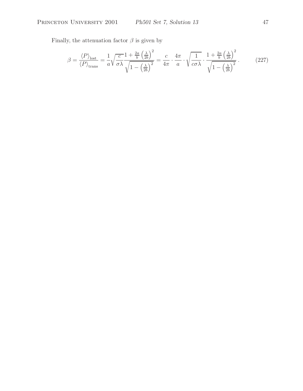Finally, the attenuation factor  $\beta$  is given by

$$
\beta = \frac{\langle P \rangle_{\text{lost}}}{\langle P \rangle_{\text{trans}}} = \frac{1}{a} \sqrt{\frac{c}{\sigma \lambda}} \frac{1 + \frac{2a}{b} \left(\frac{\lambda}{2b}\right)^2}{\sqrt{1 - \left(\frac{\lambda}{2b}\right)^2}} = \frac{c}{4\pi} \cdot \frac{4\pi}{a} \cdot \sqrt{\frac{1}{c\sigma \lambda}} \cdot \frac{1 + \frac{2a}{b} \left(\frac{\lambda}{2b}\right)^2}{\sqrt{1 - \left(\frac{\lambda}{2b}\right)^2}} \,. \tag{227}
$$